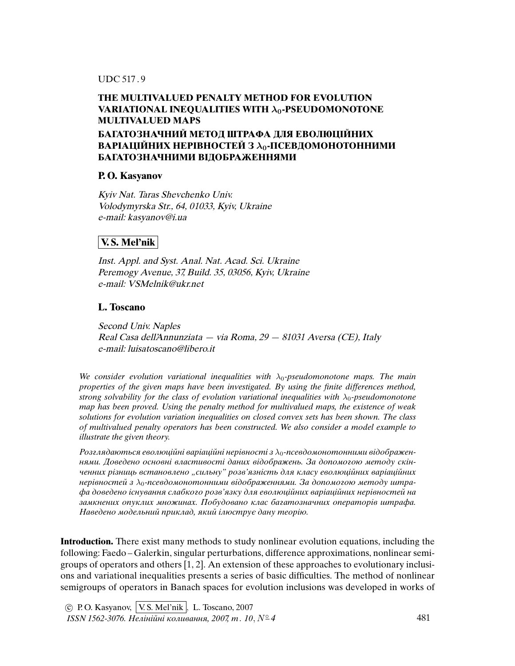### UDC 517 . 9

## **THE MULTIVALUED PENALTY METHOD FOR EVOLUTION** VARIATIONAL INEQUALITIES WITH  $\lambda_0$ -PSEUDOMONOTONE **MULTIVALUED MAPS БАГАТОЗНАЧНИЙ МЕТОД ШТРАФА ДЛЯ ЕВОЛЮЦIЙНИХ ВАРIАЦIЙНИХ НЕРIВНОСТЕЙ З** λ0**-ПСЕВДОМОНОТОННИМИ**

### **P. O. Kasyanov**

Kyiv Nat. Taras Shevchenko Univ. Volodymyrska Str., 64, 01033, Kyiv, Ukraine e-mail: kasyanov@i.ua

**БАГАТОЗНАЧНИМИ ВIДОБРАЖЕННЯМИ**

## **V. S. Mel'nik**

Inst. Appl. and Syst. Anal. Nat. Acad. Sci. Ukraine Peremogy Avenue, 37, Build. 35, 03056, Kyiv, Ukraine e-mail: VSMelnik@ukr.net

## **L. Toscano**

Second Univ. Naples Real Casa dell'Annunziata — via Roma, 29 — 81031 Aversa (CE), Italy e-mail: luisatoscano@libero.it

We consider evolution variational inequalities with  $\lambda_0$ -pseudomonotone maps. The main properties of the given maps have been investigated. By using the *fi*nite differences method, strong solvability for the class of evolution variational inequalities with  $\lambda_0$ -pseudomonotone map has been proved. Using the penalty method for multivalued maps, the existence of weak solutions for evolution variation inequalities on closed convex sets has been shown. The class of multivalued penalty operators has been constructed. We also consider a model example to illustrate the given theory.

Pозглядаються еволюційні варіаційні нерівності з  $\lambda_0$ -псевдомонотонними відображеннями. Доведено основнi властивостi даних вiдображень. За допомогою методу скiнченних різниць встановлено "сильну" розв'язність для класу еволюційних варіаційних нерiвностей з  $\lambda_0$ -псевдомонотонними вiдображеннями. За допомогою методу штрафа доведено iснування слабкого розв'язку для еволюцiйних варiацiйних нерiвностей на замкнених опуклих множинах. Побудовано клас багатозначних операторiв штрафа. Наведено модельний приклад, який iлюструє дану теорiю.

**Introduction.** There exist many methods to study nonlinear evolution equations, including the following: Faedo – Galerkin, singular perturbations, difference approximations, nonlinear semigroups of operators and others [1, 2]. An extension of these approaches to evolutionary inclusions and variational inequalities presents a series of basic difficulties. The method of nonlinear semigroups of operators in Banach spaces for evolution inclusions was developed in works of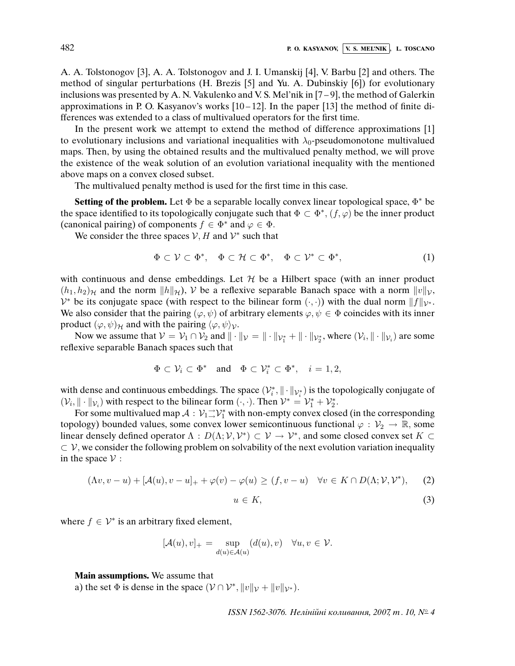A. A. Tolstonogov [3], A. A. Tolstonogov and J. I. Umanskij [4], V. Barbu [2] and others. The method of singular perturbations (H. Brezis [5] and Yu. A. Dubinskiy [6]) for evolutionary inclusions was presented by A. N. Vakulenko and V. S. Mel'nik in [7 – 9], the method of Galerkin approximations in P. O. Kasyanov's works  $[10-12]$ . In the paper  $[13]$  the method of finite differences was extended to a class of multivalued operators for the first time.

In the present work we attempt to extend the method of difference approximations [1] to evolutionary inclusions and variational inequalities with  $\lambda_0$ -pseudomonotone multivalued maps. Then, by using the obtained results and the multivalued penalty method, we will prove the existence of the weak solution of an evolution variational inequality with the mentioned above maps on a convex closed subset.

The multivalued penalty method is used for the first time in this case.

Setting of the problem. Let Φ be a separable locally convex linear topological space,  $\Phi^*$  be the space identified to its topologically conjugate such that  $\Phi \subset \Phi^*, (f, \varphi)$  be the inner product (canonical pairing) of components  $f \in \Phi^*$  and  $\varphi \in \Phi$ .

We consider the three spaces  $V, H$  and  $V^*$  such that

$$
\Phi \subset \mathcal{V} \subset \Phi^*, \quad \Phi \subset \mathcal{H} \subset \Phi^*, \quad \Phi \subset \mathcal{V}^* \subset \Phi^*, \tag{1}
$$

with continuous and dense embeddings. Let  $H$  be a Hilbert space (with an inner product  $(h_1, h_2)_{\mathcal{H}}$  and the norm  $||h||_{\mathcal{H}}$ ,  $\mathcal{V}$  be a reflexive separable Banach space with a norm  $||v||_{\mathcal{V}}$ ,  $\mathcal{V}^*$  be its conjugate space (with respect to the bilinear form  $(\cdot, \cdot)$ ) with the dual norm  $||f||_{\mathcal{V}^*}$ . We also consider that the pairing  $(\varphi, \psi)$  of arbitrary elements  $\varphi, \psi \in \Phi$  coincides with its inner product  $(\varphi, \psi)_{\mathcal{H}}$  and with the pairing  $\langle \varphi, \psi \rangle_{\mathcal{V}}$ .

Now we assume that  $V = V_1 \cap V_2$  and  $\|\cdot\|_V = \|\cdot\|_{V_1^*} + \|\cdot\|_{V_2^*}$ , where  $(V_i, \|\cdot\|_{V_i})$  are some reflexive separable Banach spaces such that

$$
\Phi\subset\mathcal{V}_i\subset\Phi^*\quad\text{and}\quad \Phi\subset\mathcal{V}^*_i\subset\Phi^*,\quad i=1,2,
$$

with dense and continuous embeddings. The space  $(\mathcal{V}_i^*, \| \cdot \|_{\mathcal{V}_i^*})$  is the topologically conjugate of  $(\mathcal{V}_i, \|\cdot\|_{\mathcal{V}_i})$  with respect to the bilinear form  $(\cdot, \cdot)$ . Then  $\mathcal{V}^* = \mathcal{V}_1^* + \mathcal{V}_2^*$ .

For some multivalued map  $\mathcal{A}: \mathcal{V}_1 \rightarrow \mathcal{V}_1^*$  with non-empty convex closed (in the corresponding topology) bounded values, some convex lower semicontinuous functional  $\varphi : \mathcal{V}_2 \to \mathbb{R}$ , some linear densely defined operator  $\Lambda: D(\Lambda; \mathcal{V}, \mathcal{V}^*) \subset \mathcal{V} \to \mathcal{V}^*$ , and some closed convex set  $K \subset$  $\subset \mathcal{V}$ , we consider the following problem on solvability of the next evolution variation inequality in the space  $V$  :

$$
(\Lambda v, v - u) + [\mathcal{A}(u), v - u]_+ + \varphi(v) - \varphi(u) \ge (f, v - u) \quad \forall v \in K \cap D(\Lambda; \mathcal{V}, \mathcal{V}^*), \tag{2}
$$

$$
u \in K,\tag{3}
$$

where  $f \in \mathcal{V}^*$  is an arbitrary fixed element,

$$
[\mathcal{A}(u),v]_+ = \sup_{d(u)\in\mathcal{A}(u)} (d(u),v) \quad \forall u,v \in \mathcal{V}.
$$

**Main assumptions.** We assume that

a) the set  $\Phi$  is dense in the space  $(\mathcal{V} \cap \mathcal{V}^*, ||v||_{\mathcal{V}} + ||v||_{\mathcal{V}^*})$ .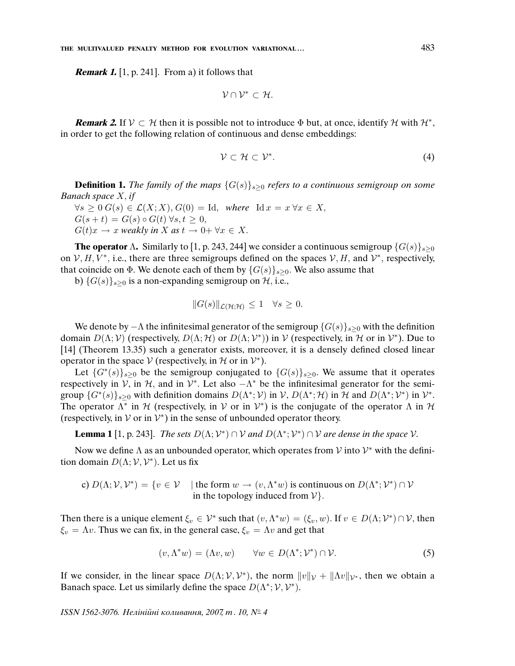**Remark 1.** [1, p. 241]. From a) it follows that

$$
\mathcal{V}\cap\mathcal{V}^*\subset\mathcal{H}.
$$

**Remark 2.** If  $V \subset H$  then it is possible not to introduce  $\Phi$  but, at once, identify H with  $H^*$ , in order to get the following relation of continuous and dense embeddings:

$$
\mathcal{V} \subset \mathcal{H} \subset \mathcal{V}^*.
$$
 (4)

**Definition 1.** The family of the maps  $\{G(s)\}_{s>0}$  refers to a continuous semigroup on some Banach space X, if

 $\forall s \geq 0 \ G(s) \in \mathcal{L}(X;X), G(0) = \mathrm{Id}, \text{ where } \mathrm{Id} x = x \ \forall x \in X,$  $G(s+t) = G(s) \circ G(t) \forall s,t \geq 0,$  $G(t)x \to x$  weakly in X as  $t \to 0+ \forall x \in X$ .

**The operator** Λ**.** Similarly to [1, p. 243, 244] we consider a continuous semigroup  $\{G(s)\}_{s>0}$ on  $V, H, V^*$ , i.e., there are three semigroups defined on the spaces  $V, H$ , and  $V^*$ , respectively, that coincide on  $\Phi$ . We denote each of them by  $\{G(s)\}_{s>0}$ . We also assume that

b)  $\{G(s)\}_{s\geq 0}$  is a non-expanding semigroup on  $H$ , i.e.,

$$
||G(s)||_{\mathcal{L}(\mathcal{H};\mathcal{H})} \leq 1 \quad \forall s \geq 0.
$$

We denote by  $-\Lambda$  the infinitesimal generator of the semigroup  $\{G(s)\}_{s>0}$  with the definition domain  $D(\Lambda; \mathcal{V})$  (respectively,  $D(\Lambda; \mathcal{H})$  or  $D(\Lambda; \mathcal{V}^*)$ ) in  $\mathcal{V}$  (respectively, in  $\mathcal{H}$  or in  $\mathcal{V}^*$ ). Due to [14] (Theorem 13.35) such a generator exists, moreover, it is a densely defined closed linear operator in the space  $V$  (respectively, in  $H$  or in  $V^*$ ).

Let  $\{G^*(s)\}_{s\geq 0}$  be the semigroup conjugated to  $\{G(s)\}_{s\geq 0}$ . We assume that it operates respectively in V, in  $H$ , and in  $V^*$ . Let also  $-\Lambda^*$  be the infinitesimal generator for the semigroup  $\{G^*(s)\}_{s\geq 0}$  with definition domains  $D(\Lambda^*; \mathcal{V})$  in  $\mathcal{V}$ ,  $D(\Lambda^*; \mathcal{H})$  in  $\mathcal{H}$  and  $D(\Lambda^*; \mathcal{V}^*)$  in  $\mathcal{V}^*$ . The operator  $\Lambda^*$  in H (respectively, in V or in  $V^*$ ) is the conjugate of the operator  $\Lambda$  in H (respectively, in  $V$  or in  $V^*$ ) in the sense of unbounded operator theory.

**Lemma 1** [1, p. 243]. *The sets*  $D(\Lambda; \mathcal{V}^*) \cap \mathcal{V}$  and  $D(\Lambda^*; \mathcal{V}^*) \cap \mathcal{V}$  are dense in the space  $\mathcal{V}$ .

Now we define  $\Lambda$  as an unbounded operator, which operates from  $\mathcal V$  into  $\mathcal V^*$  with the definition domain  $D(\Lambda; \mathcal{V}, \mathcal{V}^*)$ . Let us fix

c) 
$$
D(\Lambda; \mathcal{V}, \mathcal{V}^*) = \{v \in \mathcal{V} \mid \text{the form } w \to (v, \Lambda^* w) \text{ is continuous on } D(\Lambda^*; \mathcal{V}^*) \cap \mathcal{V} \text{ in the topology induced from } \mathcal{V}\}.
$$

Then there is a unique element  $\xi_v \in \mathcal{V}^*$  such that  $(v, \Lambda^*w) = (\xi_v, w)$ . If  $v \in D(\Lambda; \mathcal{V}^*) \cap \mathcal{V}$ , then  $\xi_v = \Lambda v$ . Thus we can fix, in the general case,  $\xi_v = \Lambda v$  and get that

$$
(v, \Lambda^* w) = (\Lambda v, w) \qquad \forall w \in D(\Lambda^*; \mathcal{V}^*) \cap \mathcal{V}.
$$
 (5)

If we consider, in the linear space  $D(\Lambda; \mathcal{V}, \mathcal{V}^*)$ , the norm  $||v||_{\mathcal{V}} + ||\Lambda v||_{\mathcal{V}^*}$ , then we obtain a Banach space. Let us similarly define the space  $D(\Lambda^*; \mathcal{V}, \mathcal{V}^*)$ .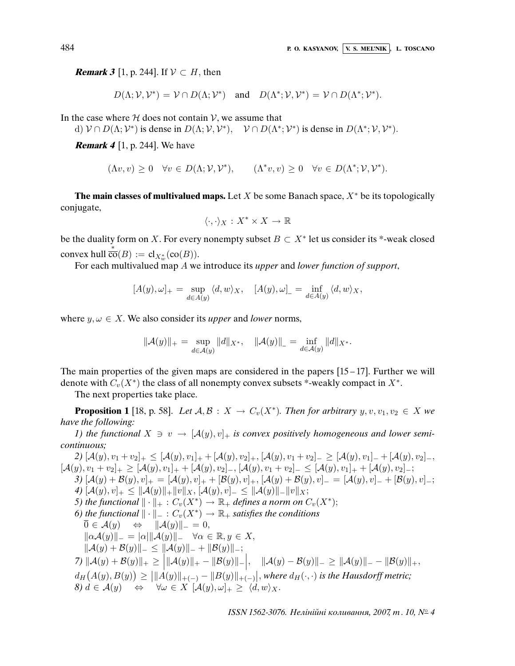**Remark 3** [1, p. 244]. If  $V \subset H$ , then

$$
D(\Lambda; \mathcal{V}, \mathcal{V}^*) = \mathcal{V} \cap D(\Lambda; \mathcal{V}^*)
$$
 and  $D(\Lambda^*; \mathcal{V}, \mathcal{V}^*) = \mathcal{V} \cap D(\Lambda^*; \mathcal{V}^*).$ 

In the case where  $H$  does not contain  $V$ , we assume that

d)  $V \cap D(\Lambda; \mathcal{V}^*)$  is dense in  $D(\Lambda; \mathcal{V}, \mathcal{V}^*)$ ,  $V \cap D(\Lambda^*; \mathcal{V}^*)$  is dense in  $D(\Lambda^*; \mathcal{V}, \mathcal{V}^*)$ .

**Remark 4** [1, p. 244]. We have

$$
(\Lambda v, v) \ge 0 \quad \forall v \in D(\Lambda; \mathcal{V}, \mathcal{V}^*), \qquad (\Lambda^* v, v) \ge 0 \quad \forall v \in D(\Lambda^*; \mathcal{V}, \mathcal{V}^*).
$$

**The main classes of multivalued maps.** Let X be some Banach space,  $X^*$  be its topologically conjugate,

$$
\langle \cdot, \cdot \rangle_X : X^* \times X \to \mathbb{R}
$$

be the duality form on X. For every nonempty subset  $B \subset X^*$  let us consider its \*-weak closed convex hull  $\overline{\overline{\text{co}}}(B) := \text{cl}_{X_w^*}(\text{co}(B)).$ 

For each multivalued map A we introduce its upper and lower function of support,

$$
[A(y), \omega]_+ = \sup_{d \in A(y)} \langle d, w \rangle_X, \quad [A(y), \omega]_- = \inf_{d \in A(y)} \langle d, w \rangle_X,
$$

where  $y, \omega \in X$ . We also consider its *upper* and *lower* norms,

$$
\|\mathcal{A}(y)\|_{+} = \sup_{d \in \mathcal{A}(y)} \|d\|_{X^*}, \quad \|\mathcal{A}(y)\|_{-} = \inf_{d \in \mathcal{A}(y)} \|d\|_{X^*}.
$$

The main properties of the given maps are considered in the papers [15 – 17]. Further we will denote with  $C_v(X^*)$  the class of all nonempty convex subsets \*-weakly compact in  $X^*$ .

The next properties take place.

**Proposition 1** [18, p. 58]. Let  $A, B: X \to C_v(X^*)$ . Then for arbitrary  $y, v, v_1, v_2 \in X$  we have the following:

1) the functional  $X \ni v \to [A(y), v]_+$  is convex positively homogeneous and lower semicontinuous;

2)  $[\mathcal{A}(y), v_1 + v_2]_+ \leq [\mathcal{A}(y), v_1]_+ + [\mathcal{A}(y), v_2]_+, [\mathcal{A}(y), v_1 + v_2]_- \geq [\mathcal{A}(y), v_1]_- + [\mathcal{A}(y), v_2]_-,$  $[\mathcal{A}(y), v_1 + v_2]_+ \geq [\mathcal{A}(y), v_1]_+ + [\mathcal{A}(y), v_2]_-, [\mathcal{A}(y), v_1 + v_2]_- \leq [\mathcal{A}(y), v_1]_+ + [\mathcal{A}(y), v_2]_-,$ 3)  $[\mathcal{A}(y) + \mathcal{B}(y), v]_+ = [\mathcal{A}(y), v]_+ + [\mathcal{B}(y), v]_+, [\mathcal{A}(y) + \mathcal{B}(y), v]_- = [\mathcal{A}(y), v]_- + [\mathcal{B}(y), v]_+;$ 4)  $[\mathcal{A}(y), v]_+ \leq \|\mathcal{A}(y)\|_+\|v\|_X, [\mathcal{A}(y), v]_- \leq \|\mathcal{A}(y)\|_-\|v\|_X;$ 5) the functional  $\|\cdot\|_+ : C_v(X^*) \to \mathbb{R}_+$  defines a norm on  $C_v(X^*)$ ; 6) the functional  $\|\cdot\|_+ : C_v(X^*) \to \mathbb{R}_+$  satisfies the conditions  $\overline{0} \in \mathcal{A}(y) \Leftrightarrow ||\mathcal{A}(y)||_{-} = 0,$  $\|\alpha\mathcal{A}(y)\|_{-} = |\alpha|\|\mathcal{A}(y)\|_{-} \quad \forall \alpha \in \mathbb{R}, y \in X,$  $\|\mathcal{A}(y) + \mathcal{B}(y)\|_{-} \le \|\mathcal{A}(y)\|_{-} + \|\mathcal{B}(y)\|_{-};$  $\mathcal{I}(\mathcal{A}(y) + \mathcal{B}(y))|_{+} \geq \Big|\|\mathcal{A}(y)\|_{+} - \|\mathcal{B}(y)\|_{-}\Big|, \quad \|\mathcal{A}(y) - \mathcal{B}(y)\|_{-} \geq \|\mathcal{A}(y)\|_{-} - \|\mathcal{B}(y)\|_{+},$  $d_H(A(y),B(y)) \geq \left| \|A(y)\|_{+(-)} - \|B(y)\|_{+(-)} \right|$ , where  $d_H(\cdot, \cdot)$  is the Hausdorff metric;  $(8) d \in \mathcal{A}(y) \Leftrightarrow \forall \omega \in X \; [\mathcal{A}(y), \omega]_+ \geq \langle d, w \rangle_X.$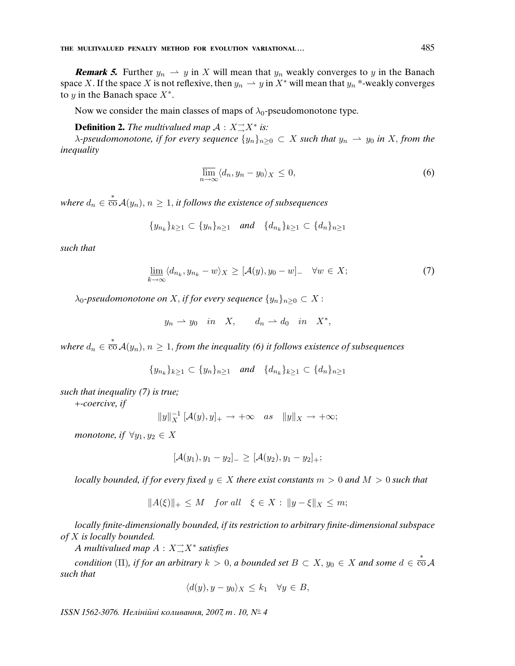**Remark 5.** Further  $y_n \rightharpoonup y$  in X will mean that  $y_n$  weakly converges to y in the Banach space X. If the space X is not reflexive, then  $y_n \rightharpoonup y$  in  $X^*$  will mean that  $y_n^*$ -weakly converges to y in the Banach space  $X^*$ .

Now we consider the main classes of maps of  $\lambda_0$ -pseudomonotone type.

# **Definition 2.** The multivalued map  $\mathcal{A}: X \rightarrow X^*$  is:

 $\lambda$ -pseudomonotone, if for every sequence  $\{y_n\}_{n>0} \subset X$  such that  $y_n \to y_0$  in X, from the inequality

$$
\overline{\lim}_{n \to \infty} \langle d_n, y_n - y_0 \rangle_X \le 0,
$$
\n(6)

where  $d_n\in \mathop{\rm co}^\ast{\cal A}(y_n),$   $n\ge 1,$  it follows the existence of subsequences

$$
\{y_{n_k}\}_{k\geq 1} \subset \{y_n\}_{n\geq 1} \quad \text{and} \quad \{d_{n_k}\}_{k\geq 1} \subset \{d_n\}_{n\geq 1}
$$

such that

$$
\underline{\lim}_{k \to \infty} \langle d_{n_k}, y_{n_k} - w \rangle_X \geq [\mathcal{A}(y), y_0 - w]_- \quad \forall w \in X; \tag{7}
$$

 $\lambda_0$ -pseudomonotone on X, if for every sequence  $\{y_n\}_{n\geq 0} \subset X$ :

$$
y_n \rightharpoonup y_0 \quad in \quad X, \qquad d_n \rightharpoonup d_0 \quad in \quad X^*,
$$

where  $d_n\in \overline{\operatorname{\mathsf{co}}} \,\mathcal{A}(y_n),$   $n\geq 1,$  from the inequality (6) it follows existence of subsequences

$$
\{y_{n_k}\}_{k\geq 1} \subset \{y_n\}_{n\geq 1} \quad \text{and} \quad \{d_{n_k}\}_{k\geq 1} \subset \{d_n\}_{n\geq 1}
$$

such that inequality (7) is true;

+-coercive, if

$$
||y||_X^{-1} [\mathcal{A}(y), y]_+ \to +\infty \quad as \quad ||y||_X \to +\infty;
$$

monotone, if  $\forall y_1, y_2 \in X$ 

$$
[\mathcal{A}(y_1), y_1 - y_2]_-\geq [\mathcal{A}(y_2), y_1 - y_2]_+;
$$

*locally bounded, if for every fixed*  $y \in X$  *there exist constants*  $m > 0$  *and*  $M > 0$  *such that* 

$$
||A(\xi)||_+ \leq M \quad \text{for all} \quad \xi \in X : ||y - \xi||_X \leq m;
$$

locally *fi*nite-dimensionally bounded, if its restriction to arbitrary *fi*nite-dimensional subspace of X is locally bounded.

A multivalued map A : X<sup>→</sup> →X<sup>∗</sup> satis*fi*es

condition (Π), if for an arbitrary  $k > 0$ , a bounded set  $B \subset X$ ,  $y_0 \in X$  and some  $d \in \frac{\ast}{\text{CO}}\mathcal{A}$ such that

$$
\langle d(y), y - y_0 \rangle_X \le k_1 \quad \forall y \in B,
$$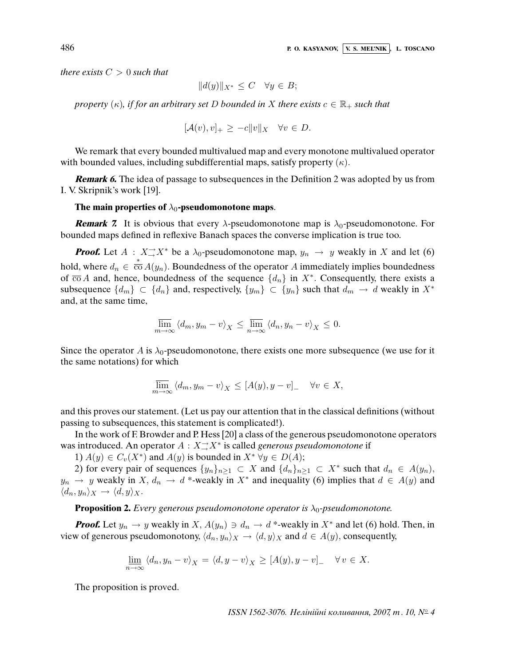there exists  $C > 0$  such that

$$
||d(y)||_{X^*} \leq C \quad \forall y \in B;
$$

property  $(\kappa)$ , if for an arbitrary set D bounded in X there exists  $c \in \mathbb{R}_+$  such that

$$
[\mathcal{A}(v), v]_+ \ge -c \|v\|_X \quad \forall v \in D.
$$

We remark that every bounded multivalued map and every monotone multivalued operator with bounded values, including subdifferential maps, satisfy property  $(\kappa)$ .

**Remark 6.** The idea of passage to subsequences in the Definition 2 was adopted by us from I. V. Skripnik's work [19].

### The main properties of  $\lambda_0$ -pseudomonotone maps.

**Remark 7.** It is obvious that every  $\lambda$ -pseudomonotone map is  $\lambda_0$ -pseudomonotone. For bounded maps defined in reflexive Banach spaces the converse implication is true too.

**Proof.** Let  $A : X \rightarrow X^*$  be a  $\lambda_0$ -pseudomonotone map,  $y_n \rightarrow y$  weakly in X and let (6) hold, where  $d_n \in \overline{\text{co}} A(y_n)$ . Boundedness of the operator A immediately implies boundedness of  $\overline{co} A$  and, hence, boundedness of the sequence  $\{d_n\}$  in  $X^*$ . Consequently, there exists a subsequence  $\{d_m\} \subset \{d_n\}$  and, respectively,  $\{y_m\} \subset \{y_n\}$  such that  $d_m \to d$  weakly in  $X^*$ and, at the same time,

$$
\overline{\lim}_{m \to \infty} \left\langle d_m, y_m - v \right\rangle_X \le \overline{\lim}_{n \to \infty} \left\langle d_n, y_n - v \right\rangle_X \le 0.
$$

Since the operator A is  $\lambda_0$ -pseudomonotone, there exists one more subsequence (we use for it the same notations) for which

$$
\overline{\lim}_{m \to \infty} \langle d_m, y_m - v \rangle_X \leq [A(y), y - v]_- \quad \forall v \in X,
$$

and this proves our statement. (Let us pay our attention that in the classical definitions (without passing to subsequences, this statement is complicated!).

In the work of F. Browder and P. Hess [20] a class of the generous pseudomonotone operators was introduced. An operator  $A: X \rightarrow X^*$  is called *generous pseudomonotone* if

1)  $A(y) \in C_v(X^*)$  and  $A(y)$  is bounded in  $X^* \,\forall y \in D(A)$ ;

2) for every pair of sequences  $\{y_n\}_{n\geq 1} \subset X$  and  $\{d_n\}_{n\geq 1} \subset X^*$  such that  $d_n \in A(y_n)$ ,  $y_n \to y$  weakly in X,  $d_n \to d^*$ -weakly in X<sup>\*</sup> and inequality (6) implies that  $d \in A(y)$  and  $\langle d_n, y_n \rangle_X \to \langle d, y \rangle_X.$ 

**Proposition 2.** Every generous pseudomonotone operator is  $\lambda_0$ -pseudomonotone.

**Proof.** Let  $y_n \to y$  weakly in  $X$ ,  $A(y_n) \ni d_n \to d^*$ -weakly in  $X^*$  and let (6) hold. Then, in view of generous pseudomonotony,  $\langle d_n, y_n \rangle_X \to \langle d, y \rangle_X$  and  $d \in A(y)$ , consequently,

$$
\underline{\lim}_{n \to \infty} \langle d_n, y_n - v \rangle_X = \langle d, y - v \rangle_X \ge [A(y), y - v] \quad \forall v \in X.
$$

The proposition is proved.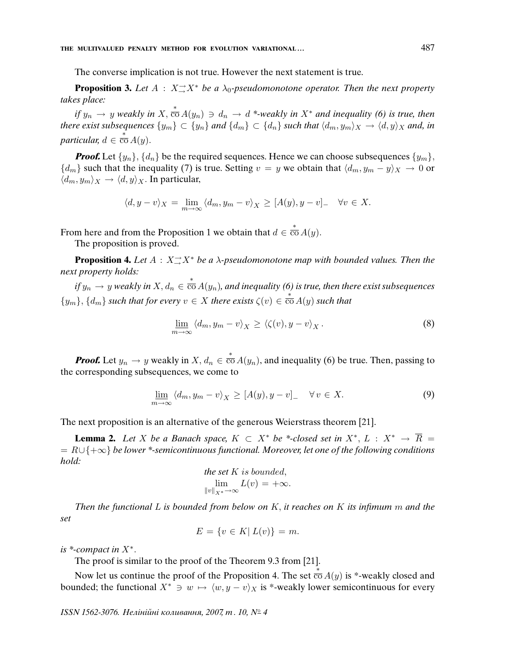The converse implication is not true. However the next statement is true.

**Proposition 3.** Let  $A : X \rightarrow X^*$  be a  $\lambda_0$ -pseudomonotone operator. Then the next property takes place:

if  $y_n \to y$  weakly in  $X, \frac{*}{c} \circ A(y_n) \ni d_n \to d$  \*-weakly in  $X^*$  and inequality (6) is true, then there exist subsequences  $\{y_m\}\subset \{y_n\}$  and  $\{d_m\}\subset \{d_n\}$  such that  $\langle d_m, y_m\rangle_X \to \langle d, y\rangle_X$  and, in particular,  $d \in \frac{\tilde{*}}{\text{co}} A(y)$ .

**Proof.** Let  $\{y_n\}$ ,  $\{d_n\}$  be the required sequences. Hence we can choose subsequences  $\{y_m\}$ ,  ${d_m}$  such that the inequality (7) is true. Setting  $v = y$  we obtain that  $\langle d_m, y_m - y \rangle_X \to 0$  or  $\langle d_m, y_m \rangle_X \to \langle d, y \rangle_X$ . In particular,

$$
\langle d, y - v \rangle_X = \lim_{m \to \infty} \langle d_m, y_m - v \rangle_X \ge [A(y), y - v] \quad \forall v \in X.
$$

From here and from the Proposition 1 we obtain that  $d \in \overline{co} A(y)$ .

The proposition is proved.

**Proposition 4.** Let  $A: X \rightarrow X^*$  be a  $\lambda$ -pseudomonotone map with bounded values. Then the next property holds:

if  $y_n \to y$  weakly in  $X, d_n \in \overline{co} A(y_n)$ , and inequality (6) is true, then there exist subsequences  ${y_m}$ ,  ${d_m}$  such that for every  $v \in X$  there exists  $\zeta(v) \in \overline{co} A(y)$  such that

$$
\underline{\lim}_{m \to \infty} \langle d_m, y_m - v \rangle_X \ge \langle \zeta(v), y - v \rangle_X. \tag{8}
$$

**Proof.** Let  $y_n \to y$  weakly in  $X, d_n \in \overline{co} A(y_n)$ , and inequality (6) be true. Then, passing to the corresponding subsequences, we come to

$$
\underline{\lim}_{m \to \infty} \langle d_m, y_m - v \rangle_X \ge [A(y), y - v] \quad \forall v \in X. \tag{9}
$$

The next proposition is an alternative of the generous Weierstrass theorem [21].

**Lemma 2.** Let X be a Banach space,  $K \subset X^*$  be \*-closed set in  $X^*, L : X^* \to \overline{R} =$  $= R \cup \{+\infty\}$  be lower \*-semicontinuous functional. Moreover, let one of the following conditions hold:  $\boldsymbol{u}$   $\boldsymbol{v}$  is bounded,  $\boldsymbol{v}$ 

the set K is bounded,  
\n
$$
\lim_{\|v\|_{X^*}\to\infty} L(v) = +\infty.
$$

Then the functional L is bounded from below on K, it reaches on K its in*fi*mum m and the set

$$
E = \{ v \in K | L(v) \} = m.
$$

is  $*$ -compact in  $X^*$ .

The proof is similar to the proof of the Theorem 9.3 from [21].

Now let us continue the proof of the Proposition 4. The set  $\overline{co} A(y)$  is \*-weakly closed and bounded; the functional  $X^* \ni w \mapsto \langle w, y - v \rangle_X$  is \*-weakly lower semicontinuous for every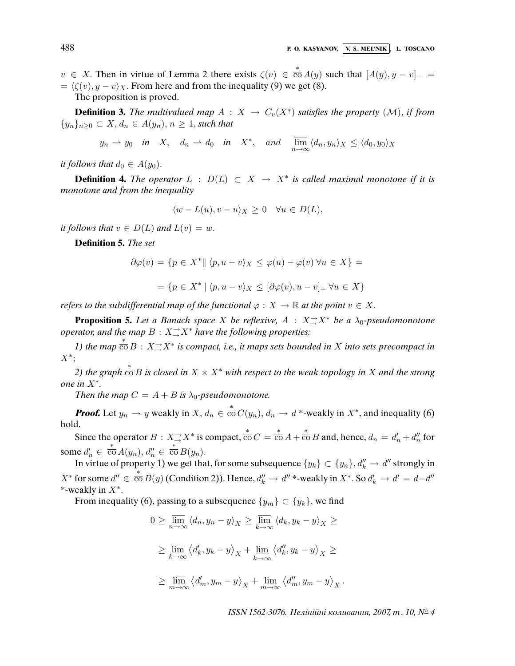$v \in X$ . Then in virtue of Lemma 2 there exists  $\zeta(v) \in \overline{\text{co}} A(y)$  such that  $[A(y), y - v]_{-}$  $= \langle \zeta(v), y - v \rangle_X$ . From here and from the inequality (9) we get (8).

The proposition is proved.

**Definition 3.** The multivalued map  $A: X \to C_v(X^*)$  satisfies the property  $(M)$ , if from  ${y_n}_{n\geq 0} \subset X, d_n \in A(y_n), n \geq 1$ , such that

 $y_n \rightharpoonup y_0$  in  $X$ ,  $d_n \rightharpoonup d_0$  in  $X^*$ , and  $\overline{\lim}_{n \to \infty} \langle d_n, y_n \rangle_X \leq \langle d_0, y_0 \rangle_X$ 

it follows that  $d_0 \in A(y_0)$ .

**Definition 4.** The operator  $L$  :  $D(L) \subset X \to X^*$  is called maximal monotone if it is monotone and from the inequality

$$
\langle w - L(u), v - u \rangle_X \ge 0 \quad \forall u \in D(L),
$$

it follows that  $v \in D(L)$  and  $L(v) = w$ .

**Definition 5.** The set

$$
\partial \varphi(v) = \{ p \in X^* \mid \langle p, u - v \rangle_X \le \varphi(u) - \varphi(v) \,\forall u \in X \} =
$$

$$
= \{ p \in X^* \mid \langle p, u - v \rangle_X \leq [\partial \varphi(v), u - v]_+ \,\forall u \in X \}
$$

refers to the subdifferential map of the functional  $\varphi : X \to \mathbb{R}$  at the point  $v \in X$ .

**Proposition 5.** Let a Banach space X be reflexive,  $A : X \rightarrow X^*$  be a  $\lambda_0$ -pseudomonotone operator, and the map  $B: X \rightarrow X^*$  have the following properties:

1) the map  $\overline{\text{co}} B : X \rightarrow X^*$  is compact, i.e., it maps sets bounded in X into sets precompact in X<sup>∗</sup> ;

2) the graph  $\stackrel{*}{\overline{\text{co}}} B$  is closed in  $X \times X^*$  with respect to the weak topology in  $X$  and the strong one in X<sup>∗</sup> .

Then the map  $C = A + B$  is  $\lambda_0$ -pseudomonotone.

**Proof.** Let  $y_n \to y$  weakly in  $X, d_n \in \overline{co} C(y_n), d_n \to d^*$ -weakly in  $X^*$ , and inequality (6) hold.

Since the operator  $B: X \to X^*$  is compact,  $\frac{\partial}{\partial C} C = \frac{\partial}{\partial D} A + \frac{\partial}{\partial D} B$  and, hence,  $d_n = d'_n + d''_n$  for some  $d'_n \in \overline{\text{co}}\,A(y_n), d''_n \in \overline{\text{co}}\,B(y_n)$ .

In virtue of property 1) we get that, for some subsequence  $\{y_k\} \subset \{y_n\}, d_k'' \to d''$  strongly in  $X^*$  for some  $d'' \in \overline{{\rm co}} B(y)$  (Condition 2)). Hence,  $d''_k \to d''$  \*-weakly in  $X^*$ . So  $d'_k \to d' = d-d''$ ∗ \*-weakly in  $X^*$ .

From inequality (6), passing to a subsequence  $\{y_m\} \subset \{y_k\}$ , we find

$$
0 \geq \overline{\lim}_{n \to \infty} \langle d_n, y_n - y \rangle_X \geq \overline{\lim}_{k \to \infty} \langle d_k, y_k - y \rangle_X \geq
$$
  

$$
\geq \overline{\lim}_{k \to \infty} \langle d'_k, y_k - y \rangle_X + \underline{\lim}_{k \to \infty} \langle d''_k, y_k - y \rangle_X \geq
$$
  

$$
\geq \overline{\lim}_{m \to \infty} \langle d'_m, y_m - y \rangle_X + \underline{\lim}_{m \to \infty} \langle d''_m, y_m - y \rangle_X.
$$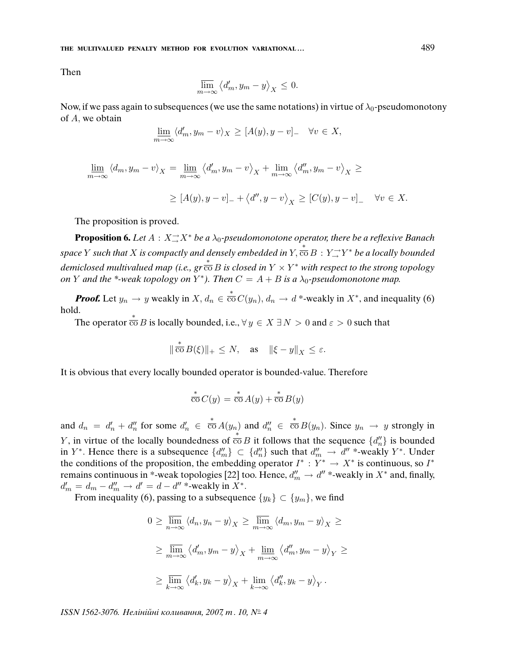**THE MULTIVALUED PENALTY METHOD FOR EVOLUTION VARIATIONAL . . .** 489

Then

$$
\overline{\lim}_{m \to \infty} \left\langle d'_m, y_m - y \right\rangle_X \leq 0.
$$

Now, if we pass again to subsequences (we use the same notations) in virtue of  $\lambda_0$ -pseudomonotony of A, we obtain

$$
\underline{\lim}_{m \to \infty} \langle d'_m, y_m - v \rangle_X \geq [A(y), y - v]_- \quad \forall v \in X,
$$

$$
\underline{\lim}_{m \to \infty} \langle d_m, y_m - v \rangle_X = \underline{\lim}_{m \to \infty} \langle d'_m, y_m - v \rangle_X + \underline{\lim}_{m \to \infty} \langle d''_m, y_m - v \rangle_X \ge
$$
  

$$
\ge [A(y), y - v]_- + \langle d'', y - v \rangle_X \ge [C(y), y - v]_- \quad \forall v \in X.
$$

The proposition is proved.

**Proposition 6.** Let  $A: X \rightarrow X^*$  be a  $\lambda_0$ -pseudomonotone operator, there be a reflexive Banach space Y such that X is compactly and densely embedded in  $Y, \overline{co} B : Y \rightarrow Y^*$  be a locally bounded *i*<br>demiclosed multivalued map (i.e., gr  $\overline{\overline{co}}$  B is closed in  $Y \times Y^*$  with respect to the strong topology on Y and the \*-weak topology on Y\*). Then  $C = A + B$  is a  $\lambda_0$ -pseudomonotone map.

**Proof.** Let  $y_n \to y$  weakly in  $X, d_n \in \overline{co} C(y_n), d_n \to d^*$ -weakly in  $X^*$ , and inequality (6) hold.

The operator  $\stackrel{*}{\overline{\text{co}}} B$  is locally bounded, i.e.,  $\forall y \in X \exists N > 0$  and  $\varepsilon > 0$  such that

$$
\|\stackrel{*}{\overline{\operatorname{co}}} B(\xi)\|_+\leq N,\quad \text{as}\quad \|\xi-y\|_X\leq \varepsilon.
$$

It is obvious that every locally bounded operator is bounded-value. Therefore

$$
\stackrel{*}{\overline{\text{co}}} C(y) = \stackrel{*}{\overline{\text{co}}} A(y) + \stackrel{*}{\overline{\text{co}}} B(y)
$$

and  $d_n = d'_n + d''_n$  for some  $d'_n \in \overline{co} A(y_n)$  and  $d''_n \in \overline{co} B(y_n)$ . Since  $y_n \to y$  strongly in *Y*, in virtue of the locally boundedness of  $\overline{co} B$  it follows that the sequence  $\{d''_n\}$  is bounded in Y<sup>\*</sup>. Hence there is a subsequence  $\{d''_m\} \subset \{d''_n\}$  such that  $d''_m \to d''$  \*-weakly Y<sup>\*</sup>. Under the conditions of the proposition, the embedding operator  $I^* : Y^* \to X^*$  is continuous, so  $I^*$ remains continuous in \*-weak topologies [22] too. Hence,  $d''_m \to d''$  \*-weakly in  $X^*$  and, finally,  $d'_m = d_m - d''_m \to d' = d - d''$ \*-weakly in  $X^*$ .

From inequality (6), passing to a subsequence  $\{y_k\} \subset \{y_m\}$ , we find

$$
0 \ge \overline{\lim}_{n \to \infty} \langle d_n, y_n - y \rangle_X \ge \overline{\lim}_{m \to \infty} \langle d_m, y_m - y \rangle_X \ge
$$
  

$$
\ge \overline{\lim}_{m \to \infty} \langle d'_m, y_m - y \rangle_X + \underline{\lim}_{m \to \infty} \langle d''_m, y_m - y \rangle_Y \ge
$$
  

$$
\ge \overline{\lim}_{k \to \infty} \langle d'_k, y_k - y \rangle_X + \underline{\lim}_{k \to \infty} \langle d''_k, y_k - y \rangle_Y.
$$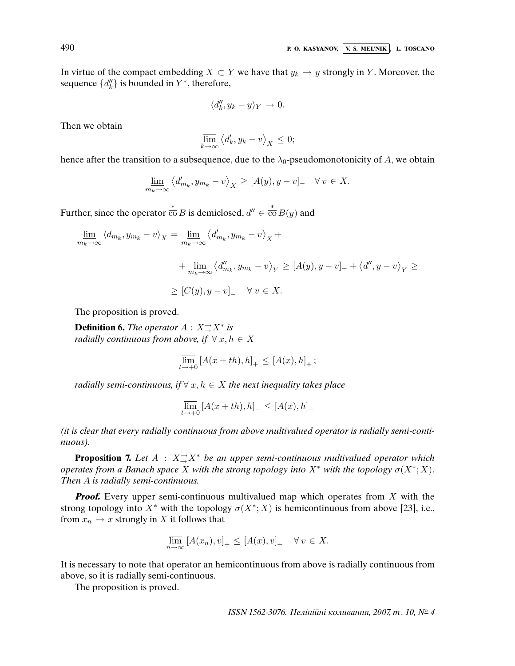In virtue of the compact embedding  $X \subset Y$  we have that  $y_k \to y$  strongly in Y. Moreover, the sequence  $\{d''_k\}$  is bounded in  $Y^*$ , therefore,

$$
\langle d_k'', y_k - y \rangle_Y \to 0.
$$

Then we obtain

$$
\overline{\lim}_{k \to \infty} \left\langle d'_k, y_k - v \right\rangle_X \le 0;
$$

hence after the transition to a subsequence, due to the  $\lambda_0$ -pseudomonotonicity of A, we obtain

$$
\underline{\lim}_{m_k \to \infty} \left\langle d'_{m_k}, y_{m_k} - v \right\rangle_X \geq [A(y), y - v] - \forall v \in X.
$$

Further, since the operator  $\overline{\overline{co}} B$  is demiclosed,  $d'' \in \overline{\overline{co}} B(y)$  and

$$
\lim_{m_k \to \infty} \langle d_{m_k}, y_{m_k} - v \rangle_X = \lim_{m_k \to \infty} \langle d'_{m_k}, y_{m_k} - v \rangle_X +
$$
  
+ 
$$
\lim_{m_k \to \infty} \langle d''_{m_k}, y_{m_k} - v \rangle_Y \ge [A(y), y - v]_+ \langle d'', y - v \rangle_Y \ge
$$
  

$$
\ge [C(y), y - v]_- \quad \forall \ v \in X.
$$

The proposition is proved.

**Definition 6.** The operator  $A: X \rightarrow X^*$  is radially continuous from above, if  $\forall x, h \in X$ 

$$
\overline{\lim}_{t \to +0} [A(x+th), h]_+ \le [A(x), h]_+ \, ;
$$

radially semi-continuous, if  $\forall x, h \in X$  the next inequality takes place

$$
\overline{\lim}_{t \to +0} \left[ A(x+th), h \right]_{-} \leq \left[ A(x), h \right]_{+}
$$

(it is clear that every radially continuous from above multivalued operator is radially semi-continuous).

**Proposition 7.** Let  $A : X \rightarrow X^*$  be an upper semi-continuous multivalued operator which operates from a Banach space X with the strong topology into  $X^*$  with the topology  $\sigma(X^*; X)$ . Then A is radially semi-continuous.

*Proof.* Every upper semi-continuous multivalued map which operates from X with the strong topology into  $X^*$  with the topology  $\sigma(X^*; X)$  is hemicontinuous from above [23], i.e., from  $x_n \to x$  strongly in X it follows that

$$
\overline{\lim}_{n \to \infty} [A(x_n), v]_+ \leq [A(x), v]_+ \quad \forall \, v \in X.
$$

It is necessary to note that operator an hemicontinuous from above is radially continuous from above, so it is radially semi-continuous.

The proposition is proved.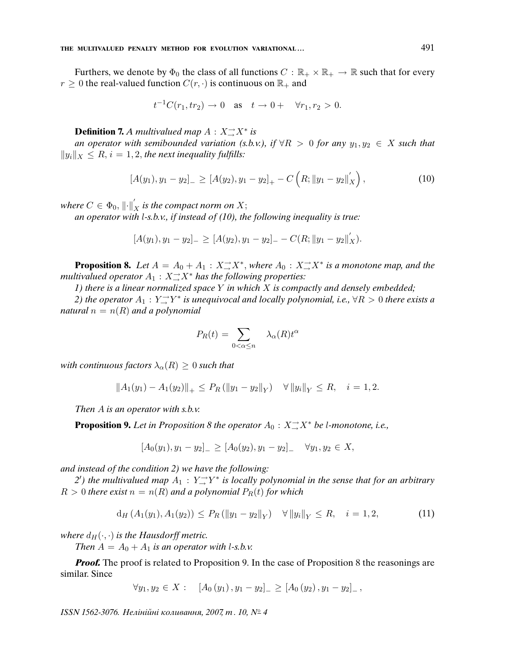Furthers, we denote by  $\Phi_0$  the class of all functions  $C : \mathbb{R}_+ \times \mathbb{R}_+ \to \mathbb{R}$  such that for every  $r \geq 0$  the real-valued function  $C(r, \cdot)$  is continuous on  $\mathbb{R}_+$  and

$$
t^{-1}C(r_1, tr_2) \to 0
$$
 as  $t \to 0+$   $\forall r_1, r_2 > 0$ .

**Definition 7.** A multivalued map  $A: X \rightarrow X^*$  is

an operator with semibounded variation (s.b.v.), if  $\forall R > 0$  for any  $y_1, y_2 \in X$  such that  $||y_i||_X \leq R$ ,  $i = 1, 2$ , the next inequality fulfills:

$$
[A(y_1), y_1 - y_2]_{-} \geq [A(y_2), y_1 - y_2]_{+} - C\left(R; \|y_1 - y_2\|_{X}'\right), \tag{10}
$$

where  $C\in\Phi_0,\left\|\cdot\right\|_X'$  is the compact norm on  $X;$ 

an operator with  $l$ -s.b.v., if instead of  $(10)$ , the following inequality is true:

$$
[A(y_1), y_1 - y_2]_{-} \geq [A(y_2), y_1 - y_2]_{-} - C(R; ||y_1 - y_2||'_{X}).
$$

**Proposition 8.** Let  $A = A_0 + A_1 : X \rightarrow X^*$ , where  $A_0 : X \rightarrow X^*$  is a monotone map, and the multivalued operator  $A_1: X{\rightarrow \atop \rightarrow} X^*$  has the following properties:

1) there is a linear normalized space Y in which X is compactly and densely embedded;

2) the operator  $A_1:Y\substack{\rightarrow \\to}Y^*$  is unequivocal and locally polynomial, i.e.,  $\forall R>0$  there exists a natural  $n = n(R)$  and a polynomial

$$
P_R(t) = \sum_{0 < \alpha \le n} \lambda_\alpha(R) t^\alpha
$$

with continuous factors  $\lambda_{\alpha}(R) \geq 0$  such that

$$
||A_1(y_1) - A_1(y_2)||_+ \le P_R(||y_1 - y_2||_Y) \quad \forall ||y_i||_Y \le R, \quad i = 1, 2.
$$

Then  $A$  is an operator with s.b.v.

**Proposition 9.** Let in Proposition 8 the operator  $A_0: X \rightarrow X^*$  be l-monotone, i.e.,

$$
[A_0(y_1), y_1 - y_2]_{-} \geq [A_0(y_2), y_1 - y_2]_{-} \quad \forall y_1, y_2 \in X,
$$

and instead of the condition 2) we have the following:

2') the multivalued map  $A_1: Y \rightarrow Y^*$  is locally polynomial in the sense that for an arbitrary  $R > 0$  there exist  $n = n(R)$  and a polynomial  $P_R(t)$  for which

$$
d_H(A_1(y_1), A_1(y_2)) \le P_R(\|y_1 - y_2\|_Y) \quad \forall \|y_i\|_Y \le R, \quad i = 1, 2,
$$
 (11)

where  $d_H(\cdot, \cdot)$  is the Hausdorff metric.

Then  $A = A_0 + A_1$  is an operator with l-s.b.v.

*Proof.* The proof is related to Proposition 9. In the case of Proposition 8 the reasonings are similar. Since

$$
\forall y_1, y_2 \in X : \quad [A_0(y_1), y_1 - y_2]_{-} \geq [A_0(y_2), y_1 - y_2]_{-},
$$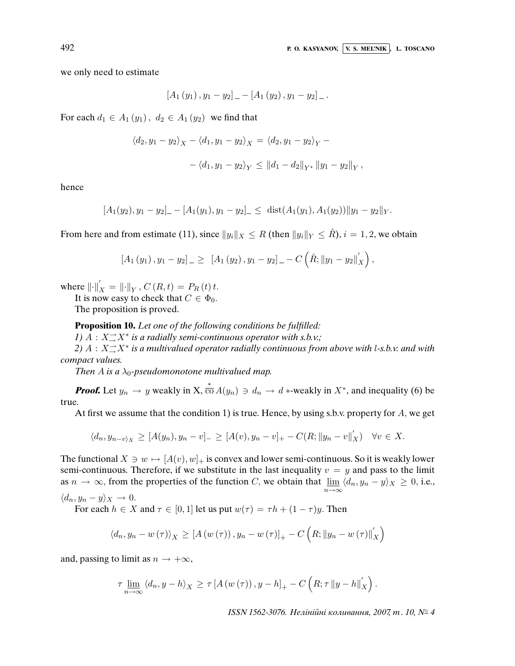,

we only need to estimate

$$
[A_1(y_1), y_1 - y_2]_- - [A_1(y_2), y_1 - y_2]_-.
$$

For each  $d_1 \in A_1(y_1)$ ,  $d_2 \in A_1(y_2)$  we find that

$$
\langle d_2, y_1 - y_2 \rangle_X - \langle d_1, y_1 - y_2 \rangle_X = \langle d_2, y_1 - y_2 \rangle_Y -
$$
  
- 
$$
\langle d_1, y_1 - y_2 \rangle_Y \le ||d_1 - d_2||_{Y^*} ||y_1 - y_2||_Y
$$

hence

$$
[A_1(y_2), y_1-y_2]_- - [A_1(y_1), y_1-y_2]_- \leq \text{dist}(A_1(y_1), A_1(y_2)) \|y_1-y_2\|_Y.
$$

From here and from estimate (11), since  $||y_i||_X \leq R$  (then  $||y_i||_Y \leq R$ ),  $i = 1, 2$ , we obtain

$$
[A_1(y_1), y_1 - y_2]_{-} \geq [A_1(y_2), y_1 - y_2]_{-} - C(\hat{R}; \|y_1 - y_2\|_{X}'),
$$

where  $\left\| \cdot \right\|_{X}^{'} = \left\| \cdot \right\|_{Y}, C(R, t) = P_{R}(t) t.$ 

It is now easy to check that  $C \in \Phi_0$ .

The proposition is proved.

**Proposition 10.** Let one of the following conditions be ful*fi*lled:

1)  $A: X \rightarrow X^*$  is a radially semi-continuous operator with s.b.v.;

2)  $A: X \rightarrow^* X^*$  is a multivalued operator radially continuous from above with l-s.b.v. and with compact values.

Then A is a  $\lambda_0$ -pseudomonotone multivalued map.

**Proof.** Let  $y_n \to y$  weakly in X,  $\overline{co} A(y_n) \ni d_n \to d$  \*-weakly in  $X^*$ , and inequality (6) be true.

At first we assume that the condition 1) is true. Hence, by using s.b.v. property for  $A$ , we get

$$
\langle d_n, y_{n-v} \rangle_X \geq [A(y_n), y_n - v]_- \geq [A(v), y_n - v]_+ - C(R; ||y_n - v||_X') \quad \forall v \in X.
$$

The functional  $X \ni w \mapsto [A(v), w]_+$  is convex and lower semi-continuous. So it is weakly lower semi-continuous. Therefore, if we substitute in the last inequality  $v = y$  and pass to the limit as  $n \to \infty$ , from the properties of the function C, we obtain that  $\lim_{n \to \infty}$  $\lim_{n\to\infty} \langle d_n, y_n - y \rangle_X \geq 0$ , i.e.,

$$
\langle d_n, y_n - y \rangle_X \to 0.
$$

For each  $h \in X$  and  $\tau \in [0, 1]$  let us put  $w(\tau) = \tau h + (1 - \tau) y$ . Then

$$
\left\langle d_n, y_n - w(\tau) \right\rangle_X \geq \left[ A \left( w(\tau) \right), y_n - w(\tau) \right]_+ - C \left( R; \left\| y_n - w(\tau) \right\|_X' \right)
$$

and, passing to limit as  $n \to +\infty$ ,

$$
\tau \lim_{n \to \infty} \left\langle d_n, y - h \right\rangle_X \geq \tau \left[ A \left( w \left( \tau \right) \right), y - h \right]_+ - C \left( R; \tau \| y - h \|_X' \right).
$$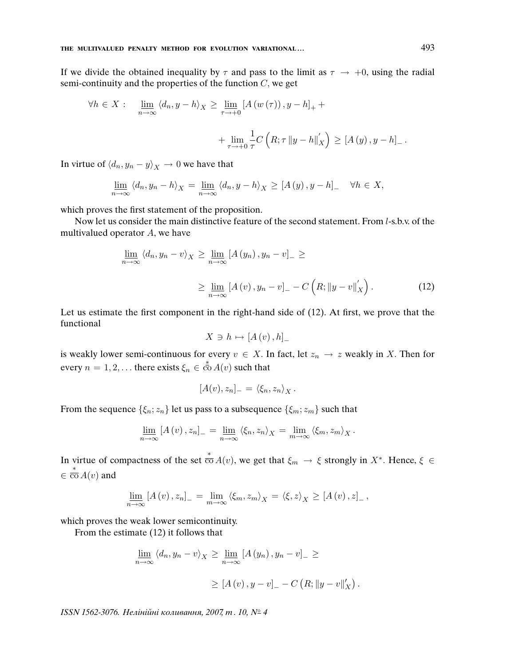If we divide the obtained inequality by  $\tau$  and pass to the limit as  $\tau \to +0$ , using the radial semi-continuity and the properties of the function  $C$ , we get

$$
\forall h \in X: \quad \lim_{n \to \infty} \langle d_n, y - h \rangle_X \ge \lim_{\tau \to +0} \left[ A \left( w \left( \tau \right) \right), y - h \right]_+ + \dots + \lim_{\tau \to +0} \frac{1}{\tau} C \left( R; \tau \| y - h \|^{\prime}_X \right) \ge \left[ A \left( y \right), y - h \right]_-.
$$

In virtue of  $\langle d_n, y_n - y \rangle_X \to 0$  we have that

$$
\underline{\lim}_{n \to \infty} \langle d_n, y_n - h \rangle_X = \underline{\lim}_{n \to \infty} \langle d_n, y - h \rangle_X \geq [A(y), y - h] \quad \forall h \in X,
$$

which proves the first statement of the proposition.

Now let us consider the main distinctive feature of the second statement. From l-s.b.v. of the multivalued operator A, we have

$$
\underline{\lim}_{n \to \infty} \langle d_n, y_n - v \rangle_X \ge \underline{\lim}_{n \to \infty} \left[ A(y_n), y_n - v \right]_- \ge
$$
\n
$$
\ge \underline{\lim}_{n \to \infty} \left[ A(v), y_n - v \right]_- - C \left( R; \|y - v\|_X' \right). \tag{12}
$$

Let us estimate the first component in the right-hand side of (12). At first, we prove that the functional

$$
X \ni h \mapsto [A(v), h]_{-}
$$

is weakly lower semi-continuous for every  $v \in X$ . In fact, let  $z_n \to z$  weakly in X. Then for every  $n = 1, 2, \dots$  there exists  $\xi_n \in \stackrel{*}{\text{co}} A(v)$  such that

$$
[A(v), z_n]_- = \langle \xi_n, z_n \rangle_X.
$$

From the sequence  $\{\xi_n; z_n\}$  let us pass to a subsequence  $\{\xi_m; z_m\}$  such that

$$
\underline{\lim}_{n\to\infty} [A(v), z_n]_- = \underline{\lim}_{n\to\infty} \langle \xi_n, z_n \rangle_X = \underline{\lim}_{m\to\infty} \langle \xi_m, z_m \rangle_X.
$$

In virtue of compactness of the set  $\stackrel{*}{\overline{\text{co}}} A(v)$ , we get that  $\xi_m \to \xi$  strongly in  $X^*$ . Hence,  $\xi \in$  $\in \overline{\text{co}} A(v)$  and

$$
\underline{\lim}_{n\to\infty}[A(v),z_n]_- = \lim_{m\to\infty}\langle \xi_m,z_m\rangle_X = \langle \xi,z\rangle_X \geq [A(v),z]_-,
$$

which proves the weak lower semicontinuity.

From the estimate (12) it follows that

$$
\underline{\lim}_{n \to \infty} \langle d_n, y_n - v \rangle_X \ge \underline{\lim}_{n \to \infty} [A(y_n), y_n - v]_- \ge
$$
  

$$
\ge [A(v), y - v]_- - C (R; ||y - v||'_X).
$$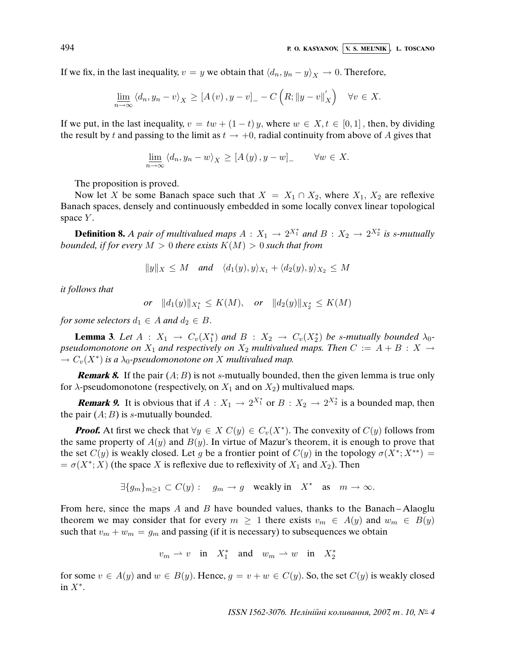If we fix, in the last inequality,  $v = y$  we obtain that  $\langle d_n, y_n - y \rangle_X \to 0$ . Therefore,

$$
\underline{\lim}_{n \to \infty} \langle d_n, y_n - v \rangle_X \geq [A(v), y - v]_+ - C\left(R; \|y - v\|_X'\right) \quad \forall v \in X.
$$

If we put, in the last inequality,  $v = tw + (1 - t)y$ , where  $w \in X, t \in [0, 1]$ , then, by dividing the result by t and passing to the limit as  $t \to +0$ , radial continuity from above of A gives that

$$
\underline{\lim}_{n \to \infty} \langle d_n, y_n - w \rangle_X \geq [A(y), y - w] \qquad \forall w \in X.
$$

The proposition is proved.

Now let X be some Banach space such that  $X = X_1 \cap X_2$ , where  $X_1, X_2$  are reflexive Banach spaces, densely and continuously embedded in some locally convex linear topological space  $Y$ .

**Definition 8.** A pair of multivalued maps  $A: X_1 \to 2^{X_1^*}$  and  $B: X_2 \to 2^{X_2^*}$  is s-mutually bounded, if for every  $M > 0$  there exists  $K(M) > 0$  such that from

$$
||y||_X \le M \quad \text{and} \quad \langle d_1(y), y \rangle_{X_1} + \langle d_2(y), y \rangle_{X_2} \le M
$$

it follows that

$$
or \t ||d_1(y)||_{X_1^*} \le K(M), \t or \t ||d_2(y)||_{X_2^*} \le K(M)
$$

for some selectors  $d_1 \in A$  and  $d_2 \in B$ .

**Lemma 3.** Let  $A : X_1 \to C_v(X_1^*)$  and  $B : X_2 \to C_v(X_2^*)$  be s-mutually bounded  $\lambda_0$ pseudomonotone on  $X_1$  and respectively on  $X_2$  multivalued maps. Then  $C := A + B : X \rightarrow$  $\rightarrow C_v(X^*)$  is a  $\lambda_0$ -pseudomonotone on X multivalued map.

**Remark 8.** If the pair  $(A; B)$  is not s-mutually bounded, then the given lemma is true only for  $\lambda$ -pseudomonotone (respectively, on  $X_1$  and on  $X_2$ ) multivalued maps.

**Remark 9.** It is obvious that if  $A: X_1 \to 2^{X_1^*}$  or  $B: X_2 \to 2^{X_2^*}$  is a bounded map, then the pair  $(A; B)$  is s-mutually bounded.

**Proof.** At first we check that  $\forall y \in X \ C(y) \in C_v(X^*)$ . The convexity of  $C(y)$  follows from the same property of  $A(y)$  and  $B(y)$ . In virtue of Mazur's theorem, it is enough to prove that the set  $C(y)$  is weakly closed. Let g be a frontier point of  $C(y)$  in the topology  $\sigma(X^*; X^{**}) =$  $= \sigma(X^*; X)$  (the space X is reflexive due to reflexivity of  $X_1$  and  $X_2$ ). Then

$$
\exists \{g_m\}_{m\geq 1} \subset C(y) : \quad g_m \to g \quad \text{weakly in} \quad X^* \quad \text{as} \quad m \to \infty.
$$

From here, since the maps  $A$  and  $B$  have bounded values, thanks to the Banach–Alaoglu theorem we may consider that for every  $m \geq 1$  there exists  $v_m \in A(y)$  and  $w_m \in B(y)$ such that  $v_m + w_m = g_m$  and passing (if it is necessary) to subsequences we obtain

$$
v_m\rightharpoonup v\quad\text{in}\quad X_1^*\quad\text{and}\quad w_m\rightharpoonup w\quad\text{in}\quad X_2^*
$$

for some  $v \in A(y)$  and  $w \in B(y)$ . Hence,  $g = v + w \in C(y)$ . So, the set  $C(y)$  is weakly closed in  $X^*$ .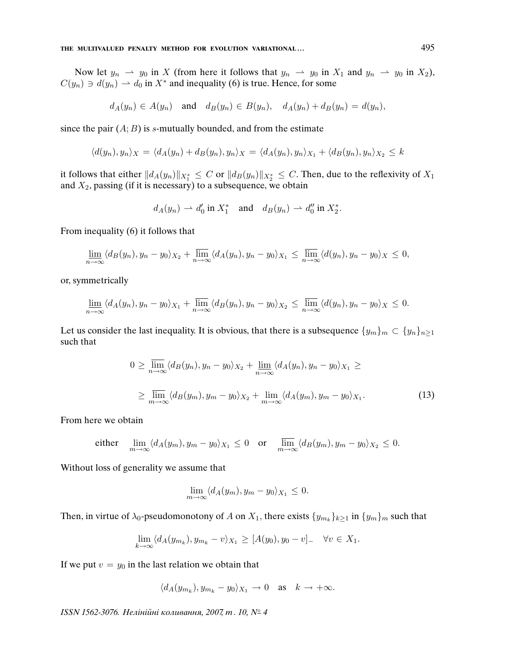Now let  $y_n \rightharpoonup y_0$  in X (from here it follows that  $y_n \rightharpoonup y_0$  in  $X_1$  and  $y_n \rightharpoonup y_0$  in  $X_2$ ),  $C(y_n) \ni d(y_n) \rightharpoonup d_0$  in  $X^*$  and inequality (6) is true. Hence, for some

$$
d_A(y_n) \in A(y_n)
$$
 and  $d_B(y_n) \in B(y_n)$ ,  $d_A(y_n) + d_B(y_n) = d(y_n)$ ,

since the pair  $(A; B)$  is s-mutually bounded, and from the estimate

$$
\langle d(y_n), y_n \rangle_X = \langle d_A(y_n) + d_B(y_n), y_n \rangle_X = \langle d_A(y_n), y_n \rangle_{X_1} + \langle d_B(y_n), y_n \rangle_{X_2} \leq k
$$

it follows that either  $\|d_A(y_n)\|_{X^*_1}\leq C$  or  $\|d_B(y_n)\|_{X^*_2}\leq C.$  Then, due to the reflexivity of  $X_1$ and  $X_2$ , passing (if it is necessary) to a subsequence, we obtain

$$
d_A(y_n) \rightharpoonup d'_0 \text{ in } X_1^* \quad \text{and} \quad d_B(y_n) \rightharpoonup d''_0 \text{ in } X_2^*.
$$

From inequality (6) it follows that

$$
\lim_{n\to\infty}\langle d_B(y_n), y_n-y_0\rangle_{X_2}+\overline{\lim}_{n\to\infty}\langle d_A(y_n), y_n-y_0\rangle_{X_1}\leq \overline{\lim}_{n\to\infty}\langle d(y_n), y_n-y_0\rangle_{X}\leq 0,
$$

or, symmetrically

$$
\lim_{n\to\infty}\langle d_A(y_n),y_n-y_0\rangle_{X_1}+\overline{\lim}_{n\to\infty}\langle d_B(y_n),y_n-y_0\rangle_{X_2}\leq \overline{\lim}_{n\to\infty}\langle d(y_n),y_n-y_0\rangle_{X}\leq 0.
$$

Let us consider the last inequality. It is obvious, that there is a subsequence  $\{y_m\}_m \subset \{y_n\}_{n\geq 1}$ such that

$$
0 \geq \overline{\lim}_{n \to \infty} \langle d_B(y_n), y_n - y_0 \rangle_{X_2} + \underline{\lim}_{n \to \infty} \langle d_A(y_n), y_n - y_0 \rangle_{X_1} \geq
$$
  
 
$$
\geq \overline{\lim}_{m \to \infty} \langle d_B(y_m), y_m - y_0 \rangle_{X_2} + \underline{\lim}_{m \to \infty} \langle d_A(y_m), y_m - y_0 \rangle_{X_1}.
$$
 (13)

From here we obtain

either 
$$
\lim_{m \to \infty} \langle d_A(y_m), y_m - y_0 \rangle_{X_1} \le 0
$$
 or  $\lim_{m \to \infty} \langle d_B(y_m), y_m - y_0 \rangle_{X_2} \le 0$ .

Without loss of generality we assume that

$$
\lim_{m \to \infty} \langle d_A(y_m), y_m - y_0 \rangle_{X_1} \leq 0.
$$

Then, in virtue of  $\lambda_0$ -pseudomonotony of A on  $X_1$ , there exists  $\{y_{m_k}\}_{k\geq 1}$  in  $\{y_m\}_m$  such that

$$
\lim_{k \to \infty} \langle d_A(y_{m_k}), y_{m_k} - v \rangle_{X_1} \geq [A(y_0), y_0 - v] \quad \forall v \in X_1.
$$

If we put  $v = y_0$  in the last relation we obtain that

$$
\langle d_A(y_{m_k}), y_{m_k} - y_0 \rangle_{X_1} \to 0
$$
 as  $k \to +\infty$ .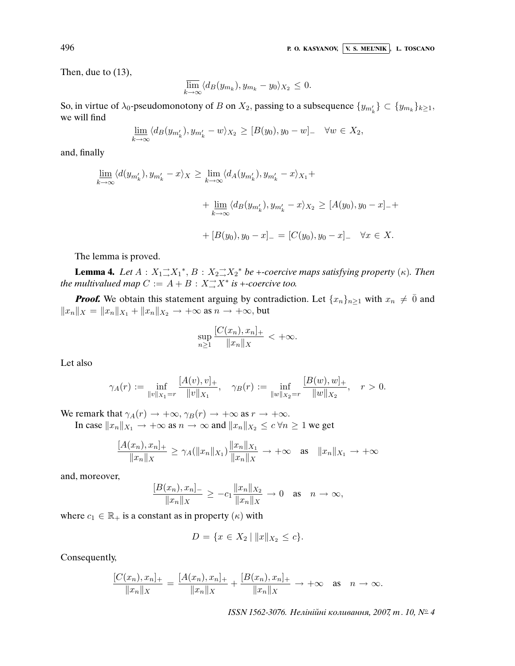Then, due to (13),

$$
\overline{\lim}_{k \to \infty} \langle d_B(y_{m_k}), y_{m_k} - y_0 \rangle_{X_2} \le 0.
$$

So, in virtue of  $\lambda_0$ -pseudomonotony of B on  $X_2$ , passing to a subsequence  $\{y_{m'_k}\}\subset \{y_{m_k}\}_{k\geq 1}$ , we will find

$$
\underline{\lim}_{k\to\infty} \langle d_B(y_{m'_k}), y_{m'_k} - w \rangle_{X_2} \ge [B(y_0), y_0 - w]_- \quad \forall w \in X_2,
$$

and, finally

$$
\underline{\lim}_{k \to \infty} \langle d(y_{m'_k}), y_{m'_k} - x \rangle_X \ge \lim_{k \to \infty} \langle d_A(y_{m'_k}), y_{m'_k} - x \rangle_{X_1} +
$$
  
+ 
$$
\underline{\lim}_{k \to \infty} \langle d_B(y_{m'_k}), y_{m'_k} - x \rangle_{X_2} \ge [A(y_0), y_0 - x]_{-} +
$$
  
+ 
$$
[B(y_0), y_0 - x]_{-} = [C(y_0), y_0 - x]_{-} \quad \forall x \in X.
$$

The lemma is proved.

**Lemma 4.** Let  $A: X_1 \rightarrow X_1^*, B: X_2 \rightarrow X_2^*$  be +-coercive maps satisfying property ( $\kappa$ ). Then the multivalued map  $C := A + B : X \rightarrow X^*$  is +-coercive too.

**Proof.** We obtain this statement arguing by contradiction. Let  $\{x_n\}_{n\geq 1}$  with  $x_n \neq \overline{0}$  and  $||x_n||_X = ||x_n||_{X_1} + ||x_n||_{X_2} \rightarrow +\infty$  as  $n \rightarrow +\infty$ , but

$$
\sup_{n\geq 1} \frac{[C(x_n), x_n]_+}{\|x_n\|_X} < +\infty.
$$

Let also

$$
\gamma_A(r):=\inf_{\|v\|_{X_1}=r}\frac{[A(v),v]_+}{\|v\|_{X_1}},\quad \gamma_B(r):=\inf_{\|w\|_{X_2}=r}\frac{[B(w),w]_+}{\|w\|_{X_2}},\quad r>0.
$$

We remark that  $\gamma_A(r) \to +\infty$ ,  $\gamma_B(r) \to +\infty$  as  $r \to +\infty$ .

In case  $||x_n||_{X_1} \to +\infty$  as  $n \to \infty$  and  $||x_n||_{X_2} \leq c \forall n \geq 1$  we get

$$
\frac{[A(x_n), x_n]_+}{\|x_n\|_X} \ge \gamma_A(\|x_n\|_{X_1}) \frac{\|x_n\|_{X_1}}{\|x_n\|_X} \to +\infty \quad \text{as} \quad \|x_n\|_{X_1} \to +\infty
$$

and, moreover,

$$
\frac{[B(x_n), x_n]_-}{\|x_n\|_X} \ge -c_1 \frac{\|x_n\|_{X_2}}{\|x_n\|_X} \to 0 \quad \text{as} \quad n \to \infty,
$$

where  $c_1 \in \mathbb{R}_+$  is a constant as in property  $(\kappa)$  with

$$
D = \{ x \in X_2 \mid ||x||_{X_2} \le c \}.
$$

Consequently,

$$
\frac{[C(x_n), x_n]_+}{\|x_n\|_X} = \frac{[A(x_n), x_n]_+}{\|x_n\|_X} + \frac{[B(x_n), x_n]_+}{\|x_n\|_X} \to +\infty \text{ as } n \to \infty.
$$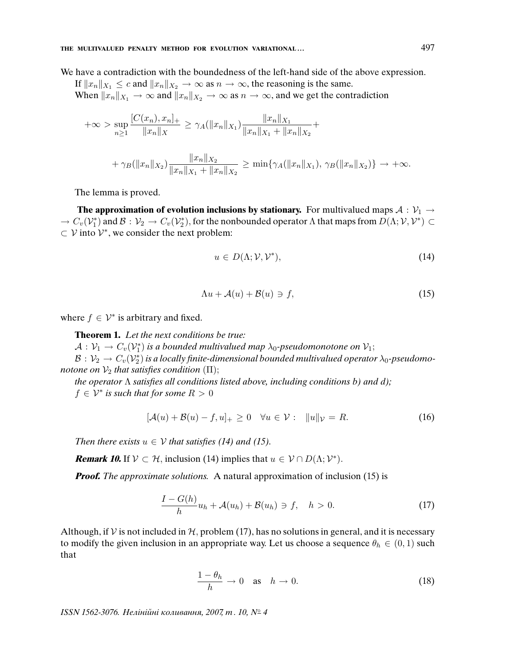### **THE MULTIVALUED PENALTY METHOD FOR EVOLUTION VARIATIONAL . . .** 497

We have a contradiction with the boundedness of the left-hand side of the above expression.

If  $||x_n||_{X_1} \leq c$  and  $||x_n||_{X_2} \to \infty$  as  $n \to \infty$ , the reasoning is the same. When  $||x_n||_{X_1} \to \infty$  and  $||x_n||_{X_2} \to \infty$  as  $n \to \infty$ , and we get the contradiction

$$
+\infty > \sup_{n\geq 1} \frac{[C(x_n), x_n]_+}{\|x_n\|_X} \geq \gamma_A(\|x_n\|_{X_1}) \frac{\|x_n\|_{X_1}}{\|x_n\|_{X_1} + \|x_n\|_{X_2}} +
$$
  
+  $\gamma_B(\|x_n\|_{X_2}) \frac{\|x_n\|_{X_2}}{\|x_n\|_{X_1} + \|x_n\|_{X_2}} \geq \min\{\gamma_A(\|x_n\|_{X_1}), \gamma_B(\|x_n\|_{X_2})\} \to +\infty.$ 

The lemma is proved.

**The approximation of evolution inclusions by stationary.** For multivalued maps  $A : \mathcal{V}_1 \rightarrow$  $\to C_v(\mathcal V_1^*)$  and  $\mathcal B: \mathcal V_2\to C_v(\mathcal V_2^*)$ , for the nonbounded operator  $\Lambda$  that maps from  $D(\Lambda;\mathcal V,\mathcal V^*)\subset\mathcal V_1$  $\subset \mathcal{V}$  into  $\mathcal{V}^*$ , we consider the next problem:

$$
u \in D(\Lambda; \mathcal{V}, \mathcal{V}^*), \tag{14}
$$

$$
\Lambda u + \mathcal{A}(u) + \mathcal{B}(u) \ni f,\tag{15}
$$

where  $f \in \mathcal{V}^*$  is arbitrary and fixed.

**Theorem 1.** Let the next conditions be true:

 $\mathcal{A}: \mathcal{V}_1 \to C_v(\mathcal{V}_1^*)$  is a bounded multivalued map  $\lambda_0$ -pseudomonotone on  $\mathcal{V}_1;$ 

 $\mathcal{B}:\mathcal{V}_2\to C_v(\mathcal{V}^*_2)$  is a locally finite-dimensional bounded multivalued operator  $\lambda_0$ -pseudomonotone on  $V_2$  that satisfies condition  $(\Pi)$ ;

the operator Λ satis*fi*es all conditions listed above, including conditions b) and d);  $f \in \mathcal{V}^*$  is such that for some  $R > 0$ 

$$
[\mathcal{A}(u) + \mathcal{B}(u) - f, u]_{+} \ge 0 \quad \forall u \in \mathcal{V}: \quad ||u||_{\mathcal{V}} = R. \tag{16}
$$

Then there exists  $u \in V$  that satisfies (14) and (15).

**Remark 10.** If  $V \subset H$ , inclusion (14) implies that  $u \in V \cap D(\Lambda; V^*)$ .

**Proof.** The approximate solutions. A natural approximation of inclusion (15) is

$$
\frac{I - G(h)}{h}u_h + \mathcal{A}(u_h) + \mathcal{B}(u_h) \ni f, \quad h > 0.
$$
 (17)

Although, if V is not included in  $H$ , problem (17), has no solutions in general, and it is necessary to modify the given inclusion in an appropriate way. Let us choose a sequence  $\theta_h \in (0,1)$  such that

$$
\frac{1-\theta_h}{h} \to 0 \quad \text{as} \quad h \to 0. \tag{18}
$$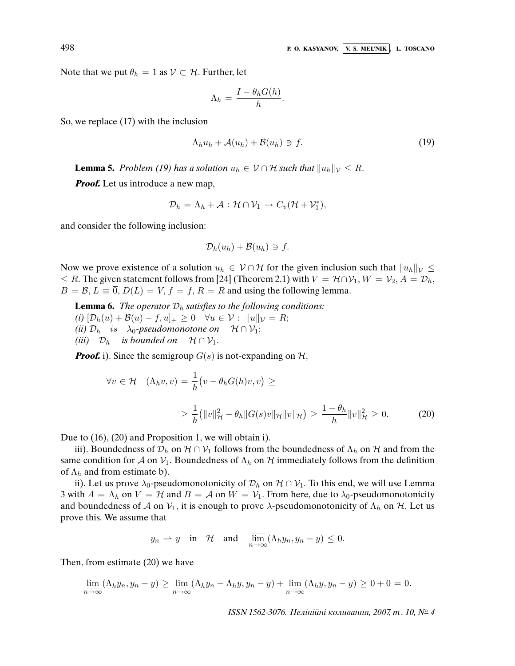498 **P. O. KASYANOV, V. S. MEL'NIK** , **L. TOSCANO**

Note that we put  $\theta_h = 1$  as  $V \subset H$ . Further, let

$$
\Lambda_h = \frac{I - \theta_h G(h)}{h}.
$$

So, we replace (17) with the inclusion

$$
\Lambda_h u_h + \mathcal{A}(u_h) + \mathcal{B}(u_h) \ni f. \tag{19}
$$

**Lemma 5.** Problem (19) has a solution  $u_h \in V \cap H$  such that  $||u_h||_V \leq R$ .

*Proof.* Let us introduce a new map,

$$
\mathcal{D}_h = \Lambda_h + \mathcal{A} : \mathcal{H} \cap \mathcal{V}_1 \to C_v(\mathcal{H} + \mathcal{V}_1^*),
$$

and consider the following inclusion:

$$
\mathcal{D}_h(u_h)+\mathcal{B}(u_h)\ni f.
$$

Now we prove existence of a solution  $u_h \in V \cap H$  for the given inclusion such that  $||u_h||_V \le$  $\leq R$ . The given statement follows from [24] (Theorem 2.1) with  $V = H \cap V_1$ ,  $W = V_2$ ,  $A = D_h$ ,  $B = \mathcal{B}, L \equiv \overline{0}, D(L) = V, f = f, R = R$  and using the following lemma.

**Lemma 6.** The operator  $\mathcal{D}_h$  satisfies to the following conditions:

- (i)  $[\mathcal{D}_h(u) + \mathcal{B}(u) f, u]_+ \geq 0 \quad \forall u \in \mathcal{V} : ||u||_{\mathcal{V}} = R;$
- (ii)  $\mathcal{D}_h$  is  $\lambda_0$ -pseudomonotone on  $\mathcal{H} \cap \mathcal{V}_1$ ;
- (iii)  $\mathcal{D}_h$  is bounded on  $\mathcal{H} \cap \mathcal{V}_1$ .

**Proof.** i). Since the semigroup  $G(s)$  is not-expanding on  $H$ ,

$$
\forall v \in \mathcal{H} \quad (\Lambda_h v, v) = \frac{1}{h} \left( v - \theta_h G(h) v, v \right) \ge
$$
  

$$
\geq \frac{1}{h} \left( \|v\|_{\mathcal{H}}^2 - \theta_h \|G(s)v\|_{\mathcal{H}} \|v\|_{\mathcal{H}} \right) \geq \frac{1 - \theta_h}{h} \|v\|_{\mathcal{H}}^2 \geq 0. \tag{20}
$$

Due to (16), (20) and Proposition 1, we will obtain i).

iii). Boundedness of  $\mathcal{D}_h$  on  $\mathcal{H} \cap \mathcal{V}_1$  follows from the boundedness of  $\Lambda_h$  on  $\mathcal{H}$  and from the same condition for A on  $V_1$ . Boundedness of  $\Lambda_h$  on H immediately follows from the definition of  $\Lambda_h$  and from estimate b).

ii). Let us prove  $\lambda_0$ -pseudomonotonicity of  $\mathcal{D}_h$  on  $\mathcal{H} \cap \mathcal{V}_1$ . To this end, we will use Lemma 3 with  $A = \Lambda_h$  on  $V = H$  and  $B = A$  on  $W = V_1$ . From here, due to  $\lambda_0$ -pseudomonotonicity and boundedness of A on  $V_1$ , it is enough to prove  $\lambda$ -pseudomonotonicity of  $\Lambda_h$  on H. Let us prove this. We assume that

$$
y_n \rightharpoonup y
$$
 in  $\mathcal{H}$  and  $\overline{\lim}_{n \to \infty} (\Lambda_h y_n, y_n - y) \le 0$ .

Then, from estimate (20) we have

$$
\underline{\lim}_{n\to\infty}(\Lambda_h y_n, y_n - y) \ge \underline{\lim}_{n\to\infty}(\Lambda_h y_n - \Lambda_h y, y_n - y) + \underline{\lim}_{n\to\infty}(\Lambda_h y, y_n - y) \ge 0 + 0 = 0.
$$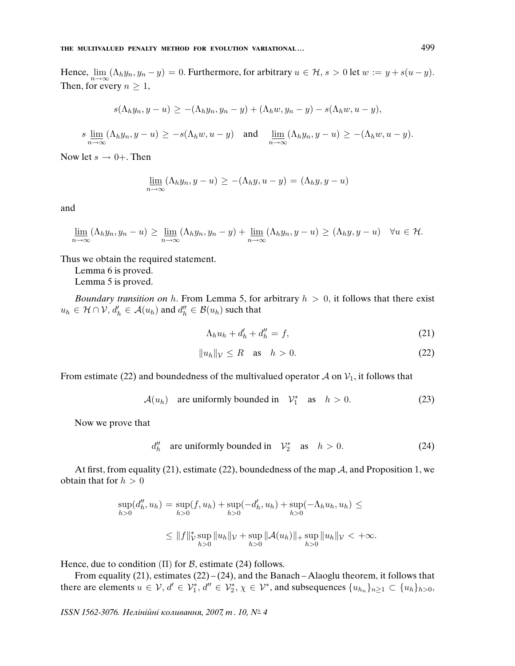Hence,  $\lim_{n\to\infty}(\Lambda_h y_n, y_n - y) = 0$ . Furthermore, for arbitrary  $u \in \mathcal{H}$ ,  $s > 0$  let  $w := y + s(u - y)$ . Then, for every  $n \geq 1$ ,

$$
s(\Lambda_h y_n, y - u) \geq -(\Lambda_h y_n, y_n - y) + (\Lambda_h w, y_n - y) - s(\Lambda_h w, u - y),
$$

$$
s \lim_{n \to \infty} (\Lambda_h y_n, y - u) \ge -s(\Lambda_h w, u - y) \quad \text{and} \quad \lim_{n \to \infty} (\Lambda_h y_n, y - u) \ge -(\Lambda_h w, u - y).
$$

Now let  $s \to 0+$ . Then

$$
\underline{\lim}_{n \to \infty} (\Lambda_h y_n, y - u) \ge -(\Lambda_h y, u - y) = (\Lambda_h y, y - u)
$$

and

$$
\underline{\lim}_{n\to\infty}(\Lambda_h y_n, y_n - u) \ge \underline{\lim}_{n\to\infty}(\Lambda_h y_n, y_n - y) + \underline{\lim}_{n\to\infty}(\Lambda_h y_n, y - u) \ge (\Lambda_h y, y - u) \quad \forall u \in \mathcal{H}.
$$

Thus we obtain the required statement.

Lemma 6 is proved.

Lemma 5 is proved.

Boundary transition on h. From Lemma 5, for arbitrary  $h > 0$ , it follows that there exist  $u_h \in \mathcal{H} \cap \mathcal{V}$ ,  $d'_h \in \mathcal{A}(u_h)$  and  $d''_h \in \mathcal{B}(u_h)$  such that

$$
\Lambda_h u_h + d'_h + d''_h = f,\tag{21}
$$

$$
||u_h||_{\mathcal{V}} \le R \quad \text{as} \quad h > 0. \tag{22}
$$

From estimate (22) and boundedness of the multivalued operator A on  $V_1$ , it follows that

$$
\mathcal{A}(u_h) \quad \text{are uniformly bounded in} \quad \mathcal{V}_1^* \quad \text{as} \quad h > 0. \tag{23}
$$

Now we prove that

$$
d_h'' \quad \text{are uniformly bounded in} \quad \mathcal{V}_2^* \quad \text{as} \quad h > 0. \tag{24}
$$

At first, from equality (21), estimate (22), boundedness of the map  $A$ , and Proposition 1, we obtain that for  $h > 0$ 

$$
\sup_{h>0} (d_h'', u_h) = \sup_{h>0} (f, u_h) + \sup_{h>0} (-d_h', u_h) + \sup_{h>0} (-\Lambda_h u_h, u_h) \le
$$
  

$$
\leq ||f||_{\mathcal{V}}^* \sup_{h>0} ||u_h||_{\mathcal{V}} + \sup_{h>0} ||\mathcal{A}(u_h)||_+ \sup_{h>0} ||u_h||_{\mathcal{V}} < +\infty.
$$

Hence, due to condition  $(II)$  for  $B$ , estimate (24) follows.

From equality (21), estimates (22) – (24), and the Banach – Alaoglu theorem, it follows that there are elements  $u \in V$ ,  $d' \in V_1^*$ ,  $d'' \in V_2^*$ ,  $\chi \in V^*$ , and subsequences  $\{u_{h_n}\}_{n \geq 1} \subset \{u_h\}_{h>0}$ ,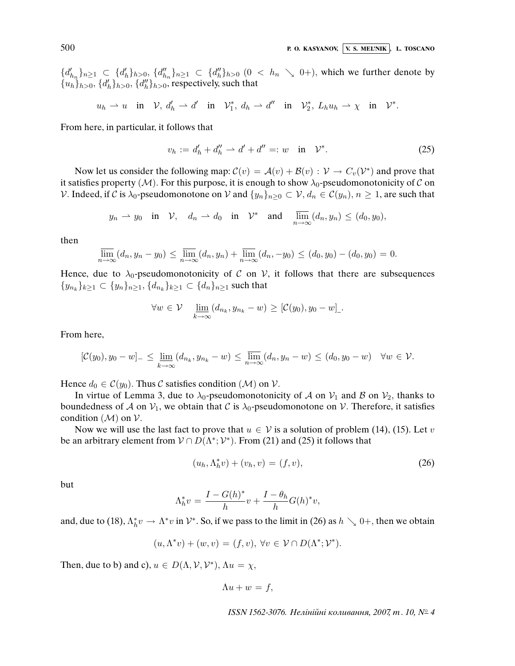${d'_{h_n}}_{n \geq 1} \subset {d'_{h}}_{h>0}, {d''_{h_n}}_{n \geq 1} \subset {d''_{h}}_{h>0}$  (0 < h<sub>n</sub> \ 0+), which we further denote by  ${u_h}_{h>0}$ ,  ${d'_h}_{h>0}$ ,  ${d''_h}_{h>0}$ , respectively, such that

$$
u_h \rightharpoonup u
$$
 in  $\mathcal{V}$ ,  $d'_h \rightharpoonup d'$  in  $\mathcal{V}_1^*$ ,  $d_h \rightharpoonup d''$  in  $\mathcal{V}_2^*$ ,  $L_h u_h \rightharpoonup \chi$  in  $\mathcal{V}^*$ .

From here, in particular, it follows that

$$
v_h := d'_h + d''_h \rightharpoonup d' + d'' =: w \quad \text{in} \quad \mathcal{V}^*.
$$
 (25)

Now let us consider the following map:  $\mathcal{C}(v) = \mathcal{A}(v) + \mathcal{B}(v) : \mathcal{V} \to C_v(\mathcal{V}^*)$  and prove that it satisfies property ( $M$ ). For this purpose, it is enough to show  $\lambda_0$ -pseudomonotonicity of C on V. Indeed, if C is  $\lambda_0$ -pseudomonotone on V and  $\{y_n\}_{n>0} \subset V$ ,  $d_n \in \mathcal{C}(y_n)$ ,  $n \geq 1$ , are such that

$$
y_n \rightharpoonup y_0
$$
 in  $\mathcal{V}$ ,  $d_n \rightharpoonup d_0$  in  $\mathcal{V}^*$  and  $\overline{\lim}_{n \to \infty} (d_n, y_n) \leq (d_0, y_0)$ ,

then

$$
\overline{\lim}_{n \to \infty} (d_n, y_n - y_0) \le \overline{\lim}_{n \to \infty} (d_n, y_n) + \overline{\lim}_{n \to \infty} (d_n, -y_0) \le (d_0, y_0) - (d_0, y_0) = 0.
$$

Hence, due to  $\lambda_0$ -pseudomonotonicity of C on V, it follows that there are subsequences  $\{y_{n_k}\}_{k\geq 1} \subset \{y_n\}_{n\geq 1}, \{d_{n_k}\}_{k\geq 1} \subset \{d_n\}_{n\geq 1}$  such that

$$
\forall w \in \mathcal{V} \quad \lim_{k \to \infty} (d_{n_k}, y_{n_k} - w) \geq [\mathcal{C}(y_0), y_0 - w]_{\mathcal{L}}.
$$

From here,

$$
[\mathcal{C}(y_0), y_0 - w]_- \leq \underline{\lim}_{k \to \infty} (d_{n_k}, y_{n_k} - w) \leq \overline{\lim}_{n \to \infty} (d_n, y_n - w) \leq (d_0, y_0 - w) \quad \forall w \in \mathcal{V}.
$$

Hence  $d_0 \in \mathcal{C}(y_0)$ . Thus C satisfies condition  $(\mathcal{M})$  on  $\mathcal{V}$ .

In virtue of Lemma 3, due to  $\lambda_0$ -pseudomonotonicity of A on  $\mathcal{V}_1$  and B on  $\mathcal{V}_2$ , thanks to boundedness of A on  $V_1$ , we obtain that C is  $\lambda_0$ -pseudomonotone on V. Therefore, it satisfies condition  $(M)$  on  $V$ .

Now we will use the last fact to prove that  $u \in V$  is a solution of problem (14), (15). Let v be an arbitrary element from  $V \cap D(\Lambda^*; V^*)$ . From (21) and (25) it follows that

$$
(u_h, \Lambda_h^* v) + (v_h, v) = (f, v), \tag{26}
$$

but

$$
\Lambda_h^* v = \frac{I - G(h)^*}{h} v + \frac{I - \theta_h}{h} G(h)^* v,
$$

and, due to (18),  $\Lambda_h^* v \to \Lambda^* v$  in  $\mathcal{V}^*$ . So, if we pass to the limit in (26) as  $h \searrow 0^+$ , then we obtain

$$
(u, \Lambda^* v) + (w, v) = (f, v), \forall v \in \mathcal{V} \cap D(\Lambda^*; \mathcal{V}^*).
$$

Then, due to b) and c),  $u \in D(\Lambda, \mathcal{V}, \mathcal{V}^*)$ ,  $\Lambda u = \chi$ ,

$$
\Lambda u + w = f,
$$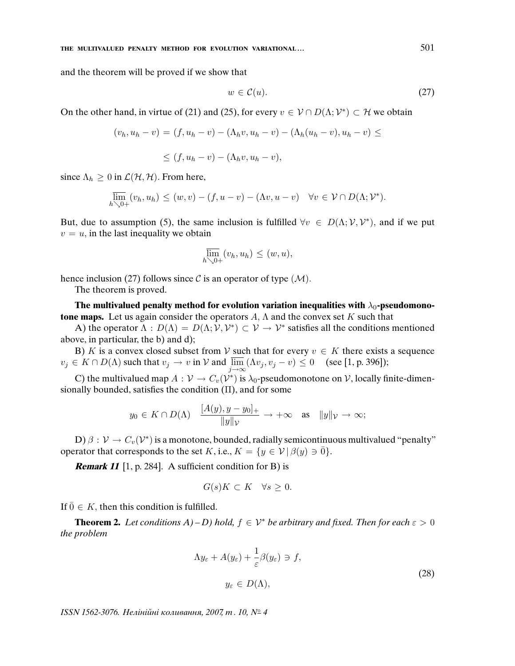### **THE MULTIVALUED PENALTY METHOD FOR EVOLUTION VARIATIONAL ...**  $501$

and the theorem will be proved if we show that

$$
w \in \mathcal{C}(u). \tag{27}
$$

On the other hand, in virtue of (21) and (25), for every  $v \in \mathcal{V} \cap D(\Lambda; \mathcal{V}^*) \subset \mathcal{H}$  we obtain

$$
(v_h, u_h - v) = (f, u_h - v) - (\Lambda_h v, u_h - v) - (\Lambda_h (u_h - v), u_h - v) \le
$$

$$
\leq (f, u_h - v) - (\Lambda_h v, u_h - v),
$$

since  $\Lambda_h \geq 0$  in  $\mathcal{L}(\mathcal{H}, \mathcal{H})$ . From here,

$$
\overline{\lim}_{h\searrow 0+}(v_h, u_h) \le (w, v) - (f, u - v) - (\Lambda v, u - v) \quad \forall v \in \mathcal{V} \cap D(\Lambda; \mathcal{V}^*).
$$

But, due to assumption (5), the same inclusion is fulfilled  $\forall v \in D(\Lambda; \mathcal{V}, \mathcal{V}^*)$ , and if we put  $v = u$ , in the last inequality we obtain

$$
\overline{\lim}_{h\searrow 0+}(v_h, u_h) \le (w, u),
$$

hence inclusion (27) follows since  $\mathcal C$  is an operator of type ( $\mathcal M$ ).

The theorem is proved.

The multivalued penalty method for evolution variation inequalities with  $\lambda_0$ -pseudomono**tone maps.** Let us again consider the operators  $A$ ,  $\Lambda$  and the convex set K such that

A) the operator  $\Lambda : D(\Lambda) = D(\Lambda; V, V^*) \subset V \to V^*$  satisfies all the conditions mentioned above, in particular, the b) and d);

B) K is a convex closed subset from V such that for every  $v \in K$  there exists a sequence  $v_j \in K \cap D(\Lambda)$  such that  $v_j \to v$  in  $\mathcal V$  and  $\lim_{j \to \infty} (\Lambda v_j, v_j - v) \leq 0$  (see [1, p. 396]);

C) the multivalued map  $A: V \to C_v(V^*)$  is  $\lambda_0$ -pseudomonotone on V, locally finite-dimensionally bounded, satisfies the condition  $(II)$ , and for some

$$
y_0 \in K \cap D(\Lambda)
$$
  $\frac{[A(y), y - y_0]_+}{\|y\|_{\mathcal{V}}}$   $\to +\infty$  as  $\|y\|_{\mathcal{V}} \to \infty$ ;

D)  $\beta : \mathcal{V} \to C_v(\mathcal{V}^*)$  is a monotone, bounded, radially semicontinuous multivalued "penalty" operator that corresponds to the set K, i.e.,  $K = \{y \in \mathcal{V} | \beta(y) \ni \overline{0}\}.$ 

**Remark 11** [1, p. 284]. A sufficient condition for B) is

$$
G(s)K \subset K \quad \forall s \ge 0.
$$

If  $\overline{0} \in K$ , then this condition is fulfilled.

**Theorem 2.** Let conditions  $A$ ) – D) hold,  $f \in V^*$  be arbitrary and fixed. Then for each  $\varepsilon > 0$ the problem

$$
\Lambda y_{\varepsilon} + A(y_{\varepsilon}) + \frac{1}{\varepsilon} \beta(y_{\varepsilon}) \ni f,
$$
  

$$
y_{\varepsilon} \in D(\Lambda),
$$
 (28)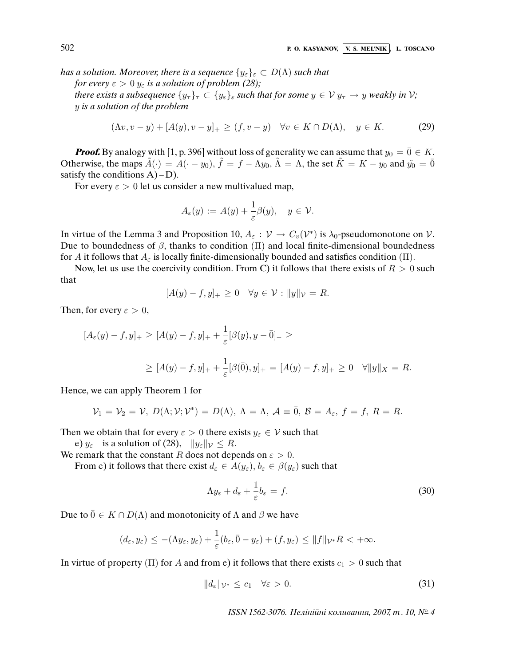has a solution. Moreover, there is a sequence  $\{y_{\varepsilon}\}_{\varepsilon} \subset D(\Lambda)$  such that for every  $\varepsilon > 0$   $y_{\varepsilon}$  is a solution of problem (28);

there exists a subsequence  $\{y_\tau\}_\tau \subset \{y_\varepsilon\}_\varepsilon$  such that for some  $y \in V$   $y_\tau \to y$  weakly in V; y is a solution of the problem

$$
(\Lambda v, v - y) + [A(y), v - y]_+ \ge (f, v - y) \quad \forall v \in K \cap D(\Lambda), \quad y \in K. \tag{29}
$$

**Proof.** By analogy with [1, p. 396] without loss of generality we can assume that  $y_0 = \overline{0} \in K$ . Otherwise, the maps  $\tilde{A}(\cdot) = A(\cdot - y_0)$ ,  $\tilde{f} = f - \Lambda y_0$ ,  $\tilde{\Lambda} = \Lambda$ , the set  $\tilde{K} = K - y_0$  and  $\tilde{y_0} = \overline{0}$ satisfy the conditions  $A$ ) – D).

For every  $\varepsilon > 0$  let us consider a new multivalued map,

$$
A_{\varepsilon}(y) := A(y) + \frac{1}{\varepsilon} \beta(y), \quad y \in \mathcal{V}.
$$

In virtue of the Lemma 3 and Proposition 10,  $A_{\varepsilon}: V \to C_v(V^*)$  is  $\lambda_0$ -pseudomonotone on V. Due to boundedness of  $\beta$ , thanks to condition  $(\Pi)$  and local finite-dimensional boundedness for A it follows that  $A_{\varepsilon}$  is locally finite-dimensionally bounded and satisfies condition (Π).

Now, let us use the coercivity condition. From C) it follows that there exists of  $R > 0$  such that

$$
[A(y) - f, y]_+ \ge 0 \quad \forall y \in \mathcal{V} : ||y||_{\mathcal{V}} = R.
$$

Then, for every  $\varepsilon > 0$ ,

$$
[A_{\varepsilon}(y) - f, y]_{+} \ge [A(y) - f, y]_{+} + \frac{1}{\varepsilon} [\beta(y), y - \bar{0}]_{-} \ge
$$
  
 
$$
\ge [A(y) - f, y]_{+} + \frac{1}{\varepsilon} [\beta(\bar{0}), y]_{+} = [A(y) - f, y]_{+} \ge 0 \quad \forall ||y||_{X} = R.
$$

Hence, we can apply Theorem 1 for

$$
\mathcal{V}_1 = \mathcal{V}_2 = \mathcal{V}, D(\Lambda; \mathcal{V}; \mathcal{V}^*) = D(\Lambda), \Lambda = \Lambda, \mathcal{A} \equiv \overline{0}, \mathcal{B} = A_{\varepsilon}, f = f, R = R.
$$

Then we obtain that for every  $\varepsilon > 0$  there exists  $y_{\varepsilon} \in V$  such that

e)  $y_{\varepsilon}$  is a solution of (28),  $||y_{\varepsilon}||_{\mathcal{V}} \leq R$ .

We remark that the constant R does not depends on  $\varepsilon > 0$ .

From e) it follows that there exist  $d_{\varepsilon} \in A(y_{\varepsilon}), b_{\varepsilon} \in \beta(y_{\varepsilon})$  such that

$$
\Lambda y_{\varepsilon} + d_{\varepsilon} + \frac{1}{\varepsilon} b_{\varepsilon} = f. \tag{30}
$$

Due to  $\overline{0} \in K \cap D(\Lambda)$  and monotonicity of  $\Lambda$  and  $\beta$  we have

$$
(d_{\varepsilon}, y_{\varepsilon}) \leq -(\Lambda y_{\varepsilon}, y_{\varepsilon}) + \frac{1}{\varepsilon}(b_{\varepsilon}, \bar{0} - y_{\varepsilon}) + (f, y_{\varepsilon}) \leq ||f||_{\mathcal{V}^*} R < +\infty.
$$

In virtue of property (Π) for A and from e) it follows that there exists  $c_1 > 0$  such that

$$
||d_{\varepsilon}||_{\mathcal{V}^*} \leq c_1 \quad \forall \varepsilon > 0. \tag{31}
$$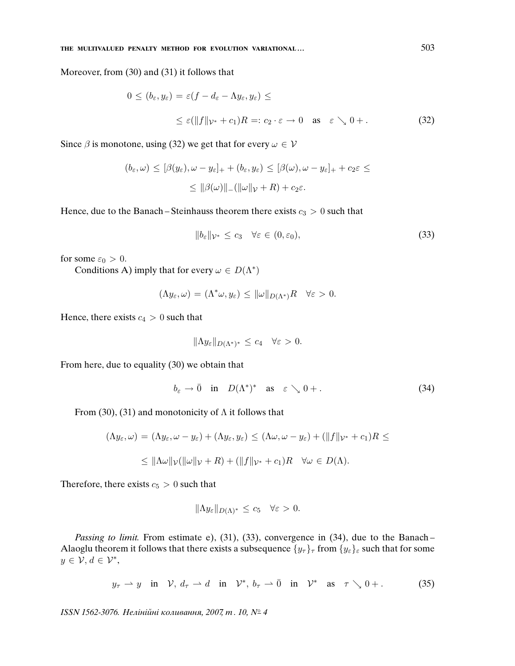Moreover, from (30) and (31) it follows that

$$
0 \le (b_{\varepsilon}, y_{\varepsilon}) = \varepsilon (f - d_{\varepsilon} - \Lambda y_{\varepsilon}, y_{\varepsilon}) \le
$$
  
 
$$
\le \varepsilon (\|f\|_{\mathcal{V}^*} + c_1)R =: c_2 \cdot \varepsilon \to 0 \quad \text{as} \quad \varepsilon \searrow 0 +.
$$
 (32)

Since  $\beta$  is monotone, using (32) we get that for every  $\omega \in V$ 

$$
(b_{\varepsilon}, \omega) \leq [\beta(y_{\varepsilon}), \omega - y_{\varepsilon}]_{+} + (b_{\varepsilon}, y_{\varepsilon}) \leq [\beta(\omega), \omega - y_{\varepsilon}]_{+} + c_{2}\varepsilon \leq
$$
  

$$
\leq ||\beta(\omega)||_{-}(||\omega||_{\mathcal{V}} + R) + c_{2}\varepsilon.
$$

Hence, due to the Banach – Steinhauss theorem there exists  $c_3 > 0$  such that

$$
||b_{\varepsilon}||_{\mathcal{V}^*} \leq c_3 \quad \forall \varepsilon \in (0, \varepsilon_0), \tag{33}
$$

for some  $\varepsilon_0 > 0$ .

Conditions A) imply that for every  $\omega \in D(\Lambda^*)$ 

$$
(\Lambda y_{\varepsilon}, \omega) = (\Lambda^* \omega, y_{\varepsilon}) \le ||\omega||_{D(\Lambda^*)} R \quad \forall \varepsilon > 0.
$$

Hence, there exists  $c_4 > 0$  such that

$$
\|\Lambda y_{\varepsilon}\|_{D(\Lambda^*)^*} \leq c_4 \quad \forall \varepsilon > 0.
$$

From here, due to equality (30) we obtain that

$$
b_{\varepsilon} \to \bar{0} \quad \text{in} \quad D(\Lambda^*)^* \quad \text{as} \quad \varepsilon \searrow 0+. \tag{34}
$$

From (30), (31) and monotonicity of  $\Lambda$  it follows that

$$
(\Lambda y_{\varepsilon}, \omega) = (\Lambda y_{\varepsilon}, \omega - y_{\varepsilon}) + (\Lambda y_{\varepsilon}, y_{\varepsilon}) \le (\Lambda \omega, \omega - y_{\varepsilon}) + (\|f\|_{\mathcal{V}^*} + c_1)R \le
$$
  

$$
\le \|\Lambda \omega\|_{\mathcal{V}} (\|\omega\|_{\mathcal{V}} + R) + (\|f\|_{\mathcal{V}^*} + c_1)R \quad \forall \omega \in D(\Lambda).
$$

Therefore, there exists  $c_5 > 0$  such that

$$
\|\Lambda y_{\varepsilon}\|_{D(\Lambda)^*} \leq c_5 \quad \forall \varepsilon > 0.
$$

Passing to limit. From estimate e), (31), (33), convergence in (34), due to the Banach-Alaoglu theorem it follows that there exists a subsequence  $\{y_\tau\}_\tau$  from  $\{y_\varepsilon\}_\varepsilon$  such that for some  $y \in \mathcal{V}, d \in \mathcal{V}^*,$ 

$$
y_{\tau} \rightharpoonup y
$$
 in  $\mathcal{V}$ ,  $d_{\tau} \rightharpoonup d$  in  $\mathcal{V}^*$ ,  $b_{\tau} \rightharpoonup \overline{0}$  in  $\mathcal{V}^*$  as  $\tau \searrow 0 +$ . (35)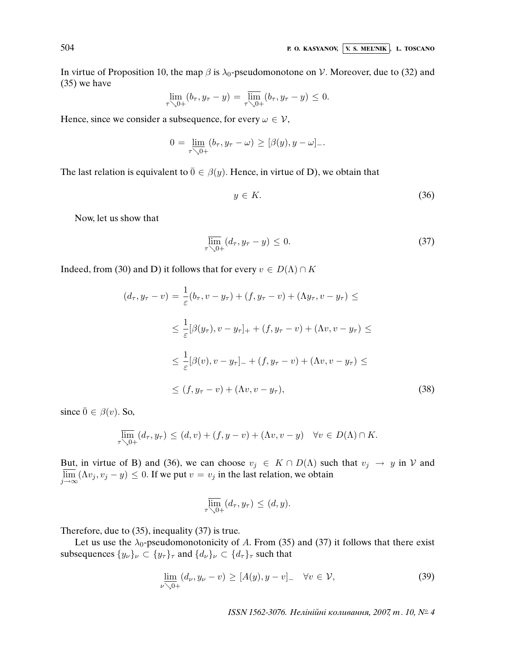In virtue of Proposition 10, the map  $\beta$  is  $\lambda_0$ -pseudomonotone on V. Moreover, due to (32) and (35) we have

$$
\lim_{\tau \searrow 0+} (b_{\tau}, y_{\tau} - y) = \overline{\lim}_{\tau \searrow 0+} (b_{\tau}, y_{\tau} - y) \leq 0.
$$

Hence, since we consider a subsequence, for every  $\omega \in \mathcal{V}$ ,

$$
0 = \underline{\lim}_{\tau \searrow 0+} (b_{\tau}, y_{\tau} - \omega) \geq [\beta(y), y - \omega]_{-}.
$$

The last relation is equivalent to  $\bar{0} \in \beta(y)$ . Hence, in virtue of D), we obtain that

$$
y \in K. \tag{36}
$$

Now, let us show that

$$
\overline{\lim}_{\tau \searrow 0+} (d_{\tau}, y_{\tau} - y) \le 0. \tag{37}
$$

Indeed, from (30) and D) it follows that for every  $v \in D(\Lambda) \cap K$ 

$$
(d_{\tau}, y_{\tau} - v) = \frac{1}{\varepsilon} (b_{\tau}, v - y_{\tau}) + (f, y_{\tau} - v) + (\Lambda y_{\tau}, v - y_{\tau}) \le
$$
  

$$
\leq \frac{1}{\varepsilon} [\beta(y_{\tau}), v - y_{\tau}]_{+} + (f, y_{\tau} - v) + (\Lambda v, v - y_{\tau}) \le
$$
  

$$
\leq \frac{1}{\varepsilon} [\beta(v), v - y_{\tau}]_{-} + (f, y_{\tau} - v) + (\Lambda v, v - y_{\tau}) \le
$$
  

$$
\leq (f, y_{\tau} - v) + (\Lambda v, v - y_{\tau}), \tag{38}
$$

since  $\bar{0} \in \beta(v)$ . So,

$$
\overline{\lim}_{\tau \searrow 0+} (d_{\tau}, y_{\tau}) \le (d, v) + (f, y - v) + (\Lambda v, v - y) \quad \forall v \in D(\Lambda) \cap K.
$$

But, in virtue of B) and (36), we can choose  $v_j \in K \cap D(\Lambda)$  such that  $v_j \to y$  in V and  $\lim_{j\to\infty}(\Lambda v_j, v_j - y) \leq 0$ . If we put  $v = v_j$  in the last relation, we obtain

$$
\overline{\lim}_{\tau \searrow 0+} (d_{\tau}, y_{\tau}) \le (d, y).
$$

Therefore, due to (35), inequality (37) is true.

Let us use the  $\lambda_0$ -pseudomonotonicity of A. From (35) and (37) it follows that there exist subsequences  $\{y_{\nu}\}_{\nu} \subset \{y_{\tau}\}_{\tau}$  and  $\{d_{\nu}\}_{\nu} \subset \{d_{\tau}\}_{\tau}$  such that

$$
\underline{\lim}_{\nu \searrow 0+} (d_{\nu}, y_{\nu} - v) \geq [A(y), y - v]_{-} \quad \forall v \in \mathcal{V}, \tag{39}
$$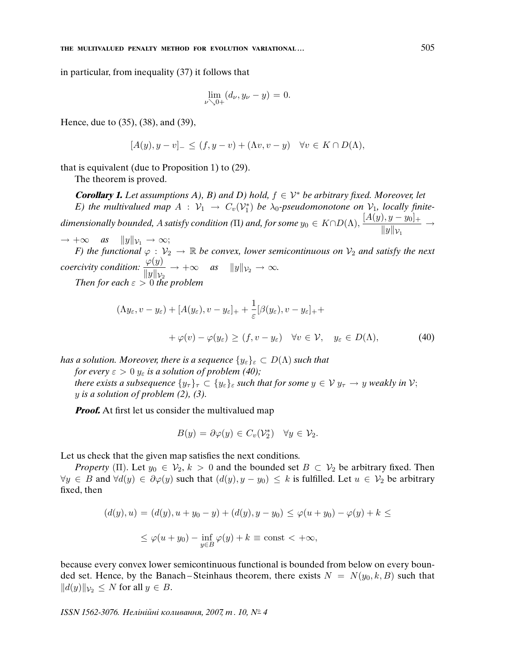in particular, from inequality (37) it follows that

$$
\lim_{\nu \searrow 0+} (d_{\nu}, y_{\nu} - y) = 0.
$$

Hence, due to (35), (38), and (39),

$$
[A(y), y - v]_{-} \le (f, y - v) + (\Lambda v, v - y) \quad \forall v \in K \cap D(\Lambda),
$$

that is equivalent (due to Proposition 1) to (29).

The theorem is proved.

**Corollary 1.** Let assumptions A), B) and D) hold,  $f \in \mathcal{V}^*$  be arbitrary fixed. Moreover, let E) the multivalued map  $A : V_1 \to C_v(V_1^*)$  be  $\lambda_0$ -pseudomonotone on  $V_1$ , locally finitedimensionally bounded, A satisfy condition ( $\Pi$ ) and, for some  $y_0 \in K \cap D(\Lambda)$ ,  $\frac{[A(y), y - y_0]_+}{||A||_2||}$  $\frac{y, y - y0 +}{\|y\|_{\mathcal{V}_1}} \rightarrow$ 

 $\rightarrow +\infty$  as  $||y||_{\mathcal{V}_1} \rightarrow \infty;$ F) the functional  $\varphi : \mathcal{V}_2 \to \mathbb{R}$  be convex, lower semicontinuous on  $\mathcal{V}_2$  and satisfy the next coercivity condition:  $\frac{\varphi(y)}{\Box \Box \Box}$  $\frac{\varphi(y)}{\|y\|_{\mathcal{V}_2}} \to +\infty$  as  $\|y\|_{\mathcal{V}_2} \to \infty$ .

Then for each  $\varepsilon > 0$  the problem

$$
(\Lambda y_{\varepsilon}, v - y_{\varepsilon}) + [A(y_{\varepsilon}), v - y_{\varepsilon}]_{+} + \frac{1}{\varepsilon} [\beta(y_{\varepsilon}), v - y_{\varepsilon}]_{+} +
$$
  
+  $\varphi(v) - \varphi(y_{\varepsilon}) \ge (f, v - y_{\varepsilon}) \quad \forall v \in \mathcal{V}, \quad y_{\varepsilon} \in D(\Lambda),$  (40)

has a solution. Moreover, there is a sequence  $\{y_{\varepsilon}\}_{\varepsilon} \subset D(\Lambda)$  such that

for every  $\varepsilon > 0$   $y_{\varepsilon}$  is a solution of problem (40); there exists a subsequence  $\{y_\tau\}_\tau \subset \{y_\varepsilon\}_\varepsilon$  such that for some  $y \in V$   $y_\tau \to y$  weakly in  $V$ ;  $y$  is a solution of problem (2), (3).

**Proof.** At first let us consider the multivalued map

$$
B(y) = \partial \varphi(y) \in C_v(\mathcal{V}_2^*) \quad \forall y \in \mathcal{V}_2.
$$

Let us check that the given map satisfies the next conditions.

*Property* (Π). Let  $y_0 \in V_2$ ,  $k > 0$  and the bounded set  $B \subset V_2$  be arbitrary fixed. Then  $\forall y \in B$  and  $\forall d(y) \in \partial \varphi(y)$  such that  $(d(y), y - y_0) \leq k$  is fulfilled. Let  $u \in V_2$  be arbitrary fixed, then

$$
(d(y), u) = (d(y), u + y_0 - y) + (d(y), y - y_0) \le \varphi(u + y_0) - \varphi(y) + k \le
$$
  

$$
\le \varphi(u + y_0) - \inf_{y \in B} \varphi(y) + k \equiv \text{const} < +\infty,
$$

because every convex lower semicontinuous functional is bounded from below on every bounded set. Hence, by the Banach–Steinhaus theorem, there exists  $N = N(y_0, k, B)$  such that  $||d(y)||_{\mathcal{V}_2} \leq N$  for all  $y \in B$ .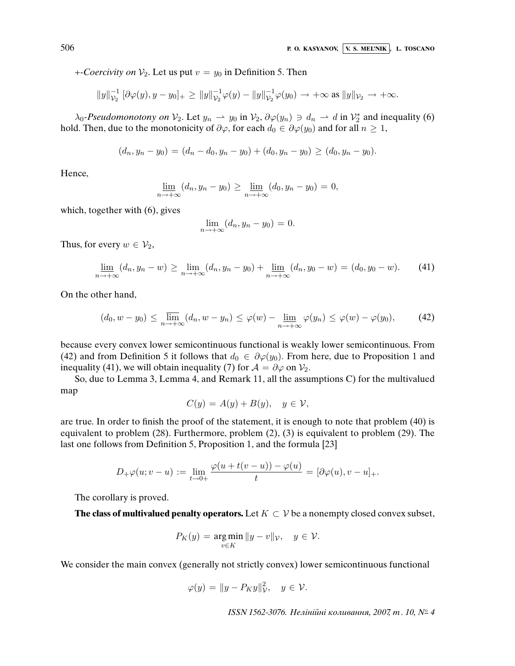+-Coercivity on  $V_2$ . Let us put  $v = y_0$  in Definition 5. Then

$$
||y||_{\mathcal{V}_2}^{-1} [\partial \varphi(y), y - y_0]_+ \ge ||y||_{\mathcal{V}_2}^{-1} \varphi(y) - ||y||_{\mathcal{V}_2}^{-1} \varphi(y_0) \to +\infty \text{ as } ||y||_{\mathcal{V}_2} \to +\infty.
$$

 $\lambda_0$ -Pseudomonotony on  $V_2$ . Let  $y_n \to y_0$  in  $V_2$ ,  $\partial \varphi(y_n) \ni d_n \to d$  in  $V_2^*$  and inequality (6) hold. Then, due to the monotonicity of  $\partial \varphi$ , for each  $d_0 \in \partial \varphi(y_0)$  and for all  $n \geq 1$ ,

$$
(d_n, y_n - y_0) = (d_n - d_0, y_n - y_0) + (d_0, y_n - y_0) \ge (d_0, y_n - y_0).
$$

Hence,

$$
\underline{\lim}_{n \to +\infty} (d_n, y_n - y_0) \ge \underline{\lim}_{n \to +\infty} (d_0, y_n - y_0) = 0,
$$

which, together with  $(6)$ , gives

$$
\lim_{n \to +\infty} (d_n, y_n - y_0) = 0.
$$

Thus, for every  $w \in V_2$ ,

$$
\lim_{n \to +\infty} (d_n, y_n - w) \ge \lim_{n \to +\infty} (d_n, y_n - y_0) + \lim_{n \to +\infty} (d_n, y_0 - w) = (d_0, y_0 - w). \tag{41}
$$

On the other hand,

$$
(d_0, w - y_0) \le \lim_{n \to +\infty} (d_n, w - y_n) \le \varphi(w) - \lim_{n \to +\infty} \varphi(y_n) \le \varphi(w) - \varphi(y_0), \tag{42}
$$

because every convex lower semicontinuous functional is weakly lower semicontinuous. From (42) and from Definition 5 it follows that  $d_0 \in \partial \varphi(y_0)$ . From here, due to Proposition 1 and inequality (41), we will obtain inequality (7) for  $A = \partial \varphi$  on  $V_2$ .

So, due to Lemma 3, Lemma 4, and Remark 11, all the assumptions C) for the multivalued map

$$
C(y) = A(y) + B(y), \quad y \in \mathcal{V},
$$

are true. In order to finish the proof of the statement, it is enough to note that problem (40) is equivalent to problem (28). Furthermore, problem (2), (3) is equivalent to problem (29). The last one follows from Definition 5, Proposition 1, and the formula [23]

$$
D_+\varphi(u;v-u):=\lim_{t\to 0+}\frac{\varphi(u+t(v-u))-\varphi(u)}{t}=[\partial\varphi(u),v-u]_+.
$$

The corollary is proved.

**The class of multivalued penalty operators.** Let  $K \subset V$  be a nonempty closed convex subset,

$$
P_K(y) = \underset{v \in K}{\arg \min} \|y - v\|_{\mathcal{V}}, \quad y \in \mathcal{V}.
$$

We consider the main convex (generally not strictly convex) lower semicontinuous functional

$$
\varphi(y) = \|y - P_K y\|_{\mathcal{V}}^2, \quad y \in \mathcal{V}.
$$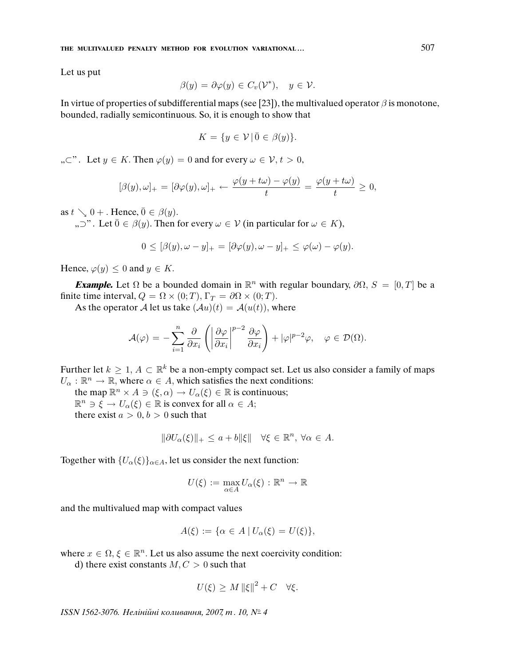Let us put

$$
\beta(y) = \partial \varphi(y) \in C_v(\mathcal{V}^*), \quad y \in \mathcal{V}.
$$

In virtue of properties of subdifferential maps (see [23]), the multivalued operator  $\beta$  is monotone, bounded, radially semicontinuous. So, it is enough to show that

$$
K = \{ y \in \mathcal{V} \mid \bar{0} \in \beta(y) \}.
$$

 $\Box$ ,  $\subset$ ". Let  $y \in K$ . Then  $\varphi(y) = 0$  and for every  $\omega \in V, t > 0$ ,

$$
[\beta(y), \omega]_+ = [\partial \varphi(y), \omega]_+ \leftarrow \frac{\varphi(y + t\omega) - \varphi(y)}{t} = \frac{\varphi(y + t\omega)}{t} \ge 0,
$$

as  $t \searrow 0 +$ . Hence,  $\overline{0} \in \beta(y)$ .

",  $\nabla$ ". Let  $\overline{0} \in \beta(y)$ . Then for every  $\omega \in V$  (in particular for  $\omega \in K$ ),

$$
0 \leq [\beta(y), \omega - y]_+ = [\partial \varphi(y), \omega - y]_+ \leq \varphi(\omega) - \varphi(y).
$$

Hence,  $\varphi(y) \leq 0$  and  $y \in K$ .

**Example.** Let  $\Omega$  be a bounded domain in  $\mathbb{R}^n$  with regular boundary,  $\partial \Omega$ ,  $S = [0, T]$  be a finite time interval,  $Q = \Omega \times (0; T)$ ,  $\Gamma_T = \partial \Omega \times (0; T)$ .

As the operator A let us take  $(Au)(t) = A(u(t))$ , where

$$
\mathcal{A}(\varphi) = -\sum_{i=1}^n \frac{\partial}{\partial x_i} \left( \left| \frac{\partial \varphi}{\partial x_i} \right|^{p-2} \frac{\partial \varphi}{\partial x_i} \right) + |\varphi|^{p-2} \varphi, \quad \varphi \in \mathcal{D}(\Omega).
$$

Further let  $k \geq 1$ ,  $A \subset \mathbb{R}^k$  be a non-empty compact set. Let us also consider a family of maps  $U_{\alpha}: \mathbb{R}^n \to \mathbb{R}$ , where  $\alpha \in A$ , which satisfies the next conditions:

the map  $\mathbb{R}^n \times A \ni (\xi, \alpha) \to U_\alpha(\xi) \in \mathbb{R}$  is continuous;  $\mathbb{R}^n \ni \xi \to U_\alpha(\xi) \in \mathbb{R}$  is convex for all  $\alpha \in A$ ; there exist  $a > 0, b > 0$  such that

$$
\|\partial U_{\alpha}(\xi)\|_{+} \leq a + b \|\xi\| \quad \forall \xi \in \mathbb{R}^{n}, \ \forall \alpha \in A.
$$

Together with  ${U_{\alpha}(\xi)}_{\alpha \in A}$ , let us consider the next function:

$$
U(\xi) := \max_{\alpha \in A} U_{\alpha}(\xi) : \mathbb{R}^n \to \mathbb{R}
$$

and the multivalued map with compact values

$$
A(\xi) := \{ \alpha \in A \mid U_{\alpha}(\xi) = U(\xi) \},
$$

where  $x \in \Omega, \xi \in \mathbb{R}^n$ . Let us also assume the next coercivity condition:

d) there exist constants  $M, C > 0$  such that

$$
U(\xi) \ge M \|\xi\|^2 + C \quad \forall \xi.
$$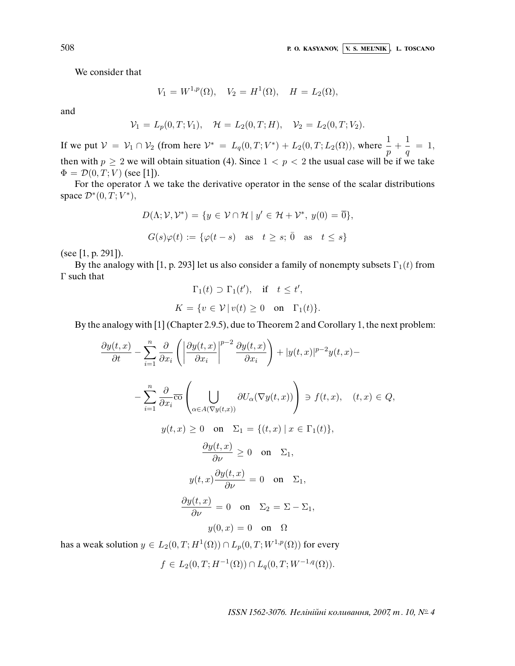We consider that

$$
V_1 = W^{1,p}(\Omega), \quad V_2 = H^1(\Omega), \quad H = L_2(\Omega),
$$

and

$$
\mathcal{V}_1 = L_p(0,T;V_1), \quad \mathcal{H} = L_2(0,T;H), \quad \mathcal{V}_2 = L_2(0,T;V_2).
$$

If we put  $V = V_1 \cap V_2$  (from here  $V^* = L_q(0,T;V^*) + L_2(0,T;L_2(\Omega))$ , where  $\frac{1}{p} + \frac{1}{q}$  $\frac{1}{q} = 1,$ then with  $p \ge 2$  we will obtain situation (4). Since  $1 < p < 2$  the usual case will be if we take  $\Phi = \mathcal{D}(0,T;V)$  (see [1]).

For the operator  $\Lambda$  we take the derivative operator in the sense of the scalar distributions space  $\mathcal{D}^*(0,T;V^*)$ ,

$$
D(\Lambda; \mathcal{V}, \mathcal{V}^*) = \{ y \in \mathcal{V} \cap \mathcal{H} \mid y' \in \mathcal{H} + \mathcal{V}^*, y(0) = \overline{0} \},
$$
  

$$
G(s)\varphi(t) := \{ \varphi(t - s) \text{ as } t \ge s; \overline{0} \text{ as } t \le s \}
$$

(see [1, p. 291]).

By the analogy with [1, p. 293] let us also consider a family of nonempty subsets  $\Gamma_1(t)$  from Γ such that  $\mathbf{a}$ 

$$
\Gamma_1(t) \supset \Gamma_1(t'), \quad \text{if} \quad t \le t',
$$
  

$$
K = \{ v \in \mathcal{V} \mid v(t) \ge 0 \quad \text{on} \quad \Gamma_1(t) \}.
$$

By the analogy with [1] (Chapter 2.9.5), due to Theorem 2 and Corollary 1, the next problem:

$$
\frac{\partial y(t,x)}{\partial t} - \sum_{i=1}^{n} \frac{\partial}{\partial x_i} \left( \left| \frac{\partial y(t,x)}{\partial x_i} \right|^{p-2} \frac{\partial y(t,x)}{\partial x_i} \right) + |y(t,x)|^{p-2} y(t,x) -
$$
\n
$$
- \sum_{i=1}^{n} \frac{\partial}{\partial x_i} \overline{\text{co}} \left( \bigcup_{\alpha \in A(\nabla y(t,x))} \partial U_{\alpha}(\nabla y(t,x)) \right) \ni f(t,x), \quad (t,x) \in Q,
$$
\n
$$
y(t,x) \ge 0 \quad \text{on} \quad \Sigma_1 = \{(t,x) \mid x \in \Gamma_1(t)\},
$$
\n
$$
\frac{\partial y(t,x)}{\partial \nu} \ge 0 \quad \text{on} \quad \Sigma_1,
$$
\n
$$
y(t,x) \frac{\partial y(t,x)}{\partial \nu} = 0 \quad \text{on} \quad \Sigma_1,
$$
\n
$$
\frac{\partial y(t,x)}{\partial \nu} = 0 \quad \text{on} \quad \Sigma_2 = \Sigma - \Sigma_1,
$$
\n
$$
y(0,x) = 0 \quad \text{on} \quad \Omega
$$
\nk solution  $u \in L_2(0, T; H^1(\Omega)) \cap L_2(0, T; W^{1,p}(\Omega))$  for every

has a weak solution  $y \in L_2(0,T;H^1(\Omega)) \cap L_p(0,T;W^{1,p}(\Omega))$  for every

$$
f \in L_2(0, T; H^{-1}(\Omega)) \cap L_q(0, T; W^{-1,q}(\Omega)).
$$